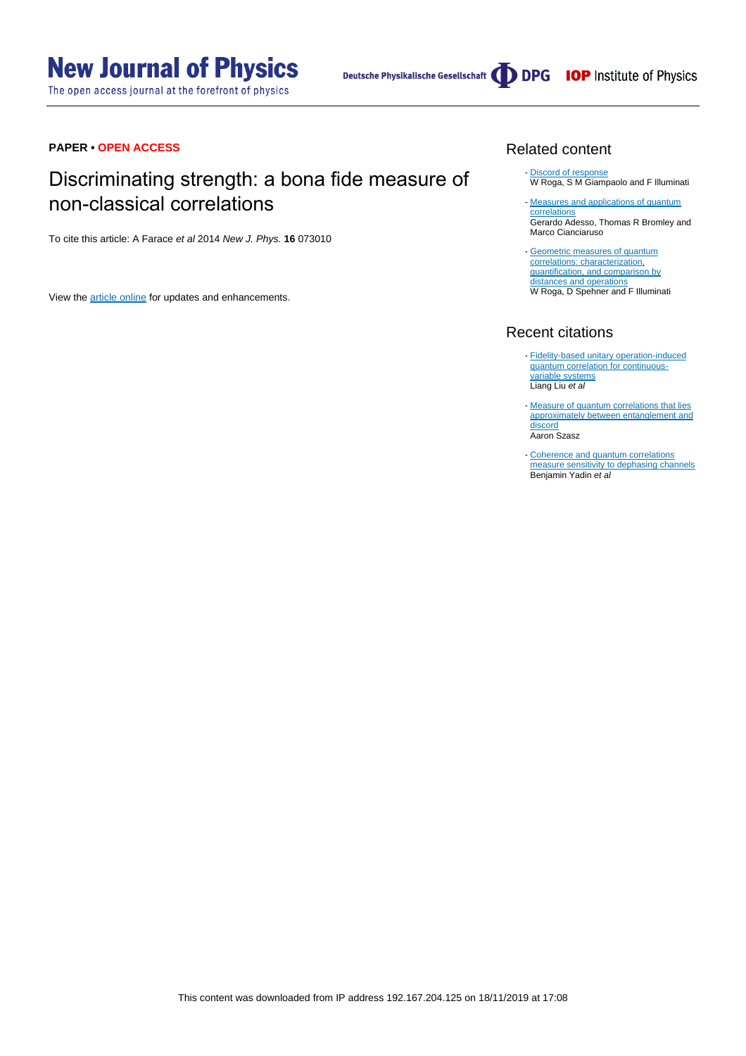The open access journal at the forefront of physics

Deutsche Physikalische Gesellschaft (DDPG IOP Institute of Physics

#### **PAPER • OPEN ACCESS**

# Discriminating strength: a bona fide measure of non-classical correlations

To cite this article: A Farace et al 2014 New J. Phys. **16** 073010

View the [article online](https://doi.org/10.1088/1367-2630/16/7/073010) for updates and enhancements.

### Related content

- [Discord of response](http://iopscience.iop.org/article/10.1088/1751-8113/47/36/365301) W Roga, S M Giampaolo and F Illuminati
- [Measures and applications of quantum](http://iopscience.iop.org/article/10.1088/1751-8113/49/47/473001) [correlations](http://iopscience.iop.org/article/10.1088/1751-8113/49/47/473001) Gerardo Adesso, Thomas R Bromley and Marco Cianciaruso
- [Geometric measures of quantum](http://iopscience.iop.org/article/10.1088/1751-8113/49/23/235301) [correlations: characterization,](http://iopscience.iop.org/article/10.1088/1751-8113/49/23/235301) [quantification, and comparison by](http://iopscience.iop.org/article/10.1088/1751-8113/49/23/235301) [distances and operations](http://iopscience.iop.org/article/10.1088/1751-8113/49/23/235301) W Roga, D Spehner and F Illuminati

# Recent citations

- [Fidelity-based unitary operation-induced](http://dx.doi.org/10.1142/S0219749919500357) [quantum correlation for continuous](http://dx.doi.org/10.1142/S0219749919500357)[variable systems](http://dx.doi.org/10.1142/S0219749919500357) Liang Liu et al
- [Measure of quantum correlations that lies](http://dx.doi.org/10.1103/PhysRevA.99.062313) [approximately between entanglement and](http://dx.doi.org/10.1103/PhysRevA.99.062313) [discord](http://dx.doi.org/10.1103/PhysRevA.99.062313) Aaron Szasz
- [Coherence and quantum correlations](http://dx.doi.org/10.1103/PhysRevA.99.012329) [measure sensitivity to dephasing channels](http://dx.doi.org/10.1103/PhysRevA.99.012329)<br>Benjamin Yadin *et al* -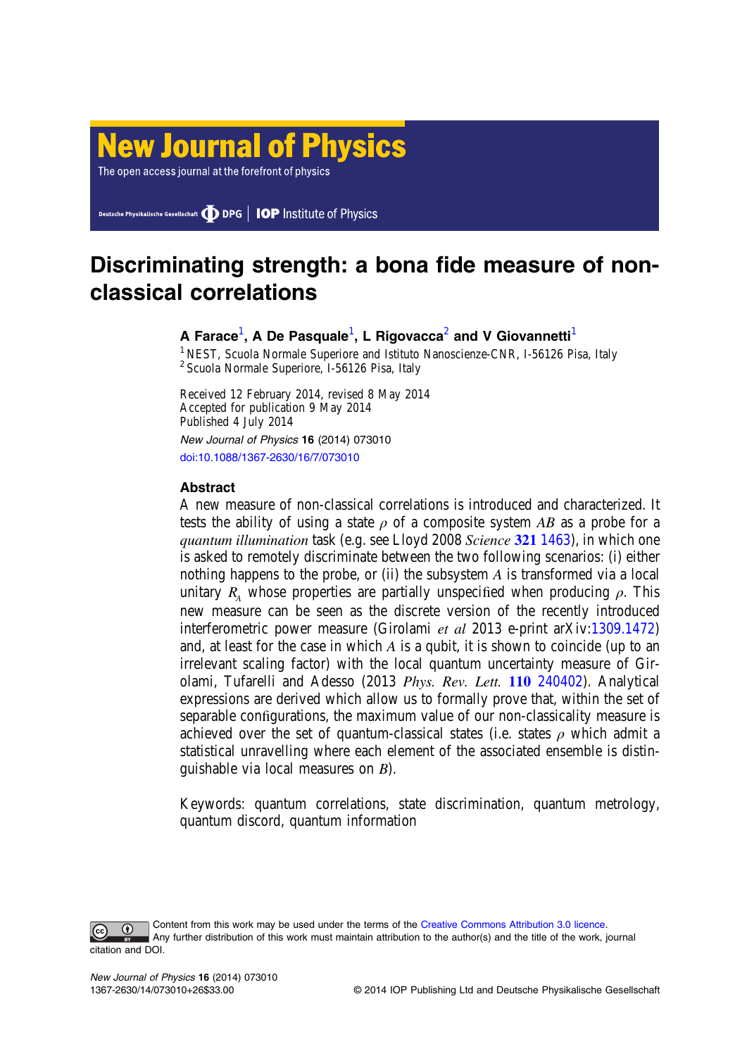# **New Journal of Physics**

The open access journal at the forefront of physics

Deutsche Physikalische Gesellschaft **DDPG** | **IOP** Institute of Physics

# Discriminating strength: a bona fide measure of nonclassical correlations

# A Farace $^1$ , A De Pasquale $^1$ , L Rigovacca $^2$  and V Giovannetti $^1$

<sup>1</sup> NEST, Scuola Normale Superiore and Istituto Nanoscienze-CNR, I-56126 Pisa, Italy <sup>2</sup> Scuola Normale Superiore, I-56126 Pisa, Italy

Received 12 February 2014, revised 8 May 2014 Accepted for publication 9 May 2014 Published 4 July 2014 New Journal of Physics 16 (2014) 073010

[doi:10.1088/1367-2630/16/7/073010](http://dx.doi.org/10.1088/1367-2630/16/7/073010)

# Abstract

A new measure of non-classical correlations is introduced and characterized. It tests the ability of using a state  $\rho$  of a composite system AB as a probe for a quantum illumination task (e.g. see Lloyd 2008 Science 321 [1463\)](http://dx.doi.org/10.1126/science.1160627), in which one is asked to remotely discriminate between the two following scenarios: (i) either nothing happens to the probe, or (ii) the subsystem  $A$  is transformed via a local unitary  $R_A$  whose properties are partially unspecified when producing  $\rho$ . This new measure can be seen as the discrete version of the recently introduced interferometric power measure (Girolami et al 2013 e-print arXiv[:1309.1472](http://arXiv.org/abs/1309.1472)) and, at least for the case in which A is a qubit, it is shown to coincide (up to an irrelevant scaling factor) with the local quantum uncertainty measure of Girolami, Tufarelli and Adesso (2013 Phys. Rev. Lett. 110 [240402\)](http://dx.doi.org/10.1103/PhysRevLett.110.240402). Analytical expressions are derived which allow us to formally prove that, within the set of separable configurations, the maximum value of our non-classicality measure is achieved over the set of quantum-classical states (i.e. states  $\rho$  which admit a statistical unravelling where each element of the associated ensemble is distinguishable via local measures on B).

Keywords: quantum correlations, state discrimination, quantum metrology, quantum discord, quantum information

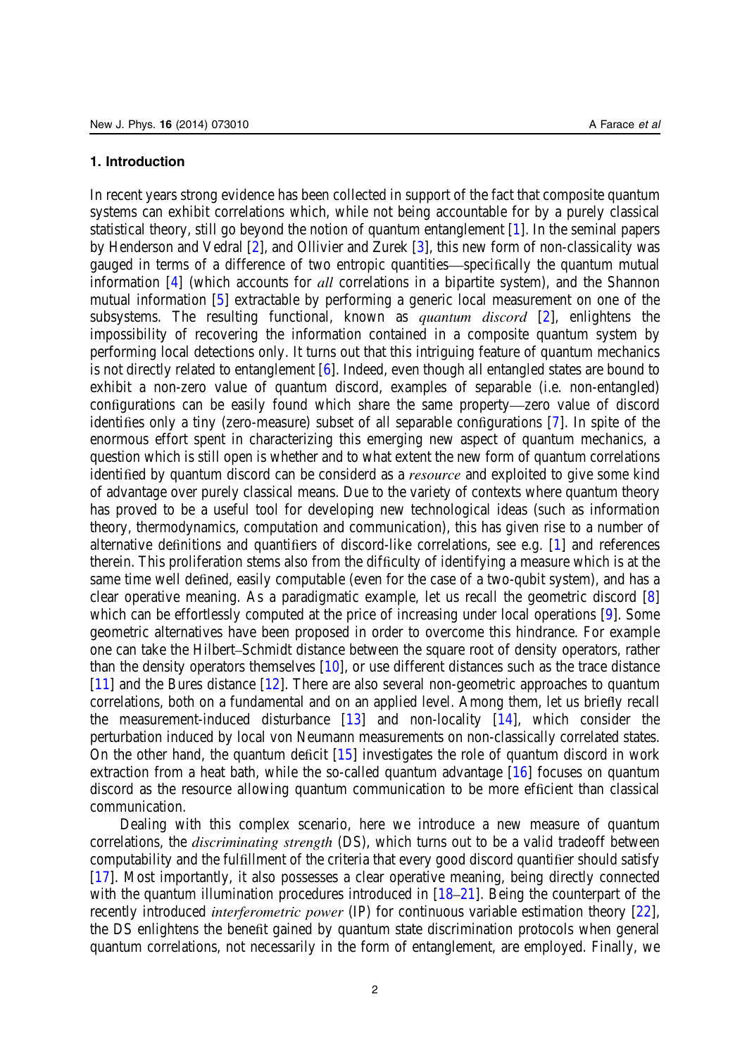#### 1. Introduction

In recent years strong evidence has been collected in support of the fact that composite quantum systems can exhibit correlations which, while not being accountable for by a purely classical statistical theory, still go beyond the notion of quantum entanglement [[1\]](#page-25-0). In the seminal papers by Henderson and Vedral [[2\]](#page-25-0), and Ollivier and Zurek [\[3](#page-25-0)], this new form of non-classicality was gauged in terms of a difference of two entropic quantities—specifically the quantum mutual information [\[4](#page-25-0)] (which accounts for *all* correlations in a bipartite system), and the Shannon mutual information [[5\]](#page-25-0) extractable by performing a generic local measurement on one of the subsystems. The resulting functional, known as *quantum discord*  $[2]$  $[2]$ , enlightens the impossibility of recovering the information contained in a composite quantum system by performing local detections only. It turns out that this intriguing feature of quantum mechanics is not directly related to entanglement [[6\]](#page-25-0). Indeed, even though all entangled states are bound to exhibit a non-zero value of quantum discord, examples of separable (i.e. non-entangled) configurations can be easily found which share the same property—zero value of discord identifies only a tiny (zero-measure) subset of all separable configurations [\[7](#page-25-0)]. In spite of the enormous effort spent in characterizing this emerging new aspect of quantum mechanics, a question which is still open is whether and to what extent the new form of quantum correlations identified by quantum discord can be considerd as a *resource* and exploited to give some kind of advantage over purely classical means. Due to the variety of contexts where quantum theory has proved to be a useful tool for developing new technological ideas (such as information theory, thermodynamics, computation and communication), this has given rise to a number of alternative definitions and quantifiers of discord-like correlations, see e.g. [\[1](#page-25-0)] and references therein. This proliferation stems also from the difficulty of identifying a measure which is at the same time well defined, easily computable (even for the case of a two-qubit system), and has a clear operative meaning. As a paradigmatic example, let us recall the geometric discord [\[8](#page-25-0)] which can be effortlessly computed at the price of increasing under local operations [[9\]](#page-25-0). Some geometric alternatives have been proposed in order to overcome this hindrance. For example one can take the Hilbert–Schmidt distance between the square root of density operators, rather than the density operators themselves [[10\]](#page-25-0), or use different distances such as the trace distance [[11\]](#page-25-0) and the Bures distance [\[12](#page-25-0)]. There are also several non-geometric approaches to quantum correlations, both on a fundamental and on an applied level. Among them, let us briefly recall the measurement-induced disturbance [[13\]](#page-25-0) and non-locality [[14\]](#page-25-0), which consider the perturbation induced by local von Neumann measurements on non-classically correlated states. On the other hand, the quantum deficit [\[15](#page-25-0)] investigates the role of quantum discord in work extraction from a heat bath, while the so-called quantum advantage [[16\]](#page-25-0) focuses on quantum discord as the resource allowing quantum communication to be more efficient than classical communication.

Dealing with this complex scenario, here we introduce a new measure of quantum correlations, the discriminating strength (DS), which turns out to be a valid tradeoff between computability and the fulfillment of the criteria that every good discord quantifier should satisfy [[17\]](#page-25-0). Most importantly, it also possesses a clear operative meaning, being directly connected with the quantum illumination procedures introduced in  $[18-21]$  $[18-21]$  $[18-21]$ . Being the counterpart of the recently introduced *interferometric power* (IP) for continuous variable estimation theory [\[22](#page-25-0)], the DS enlightens the benefit gained by quantum state discrimination protocols when general quantum correlations, not necessarily in the form of entanglement, are employed. Finally, we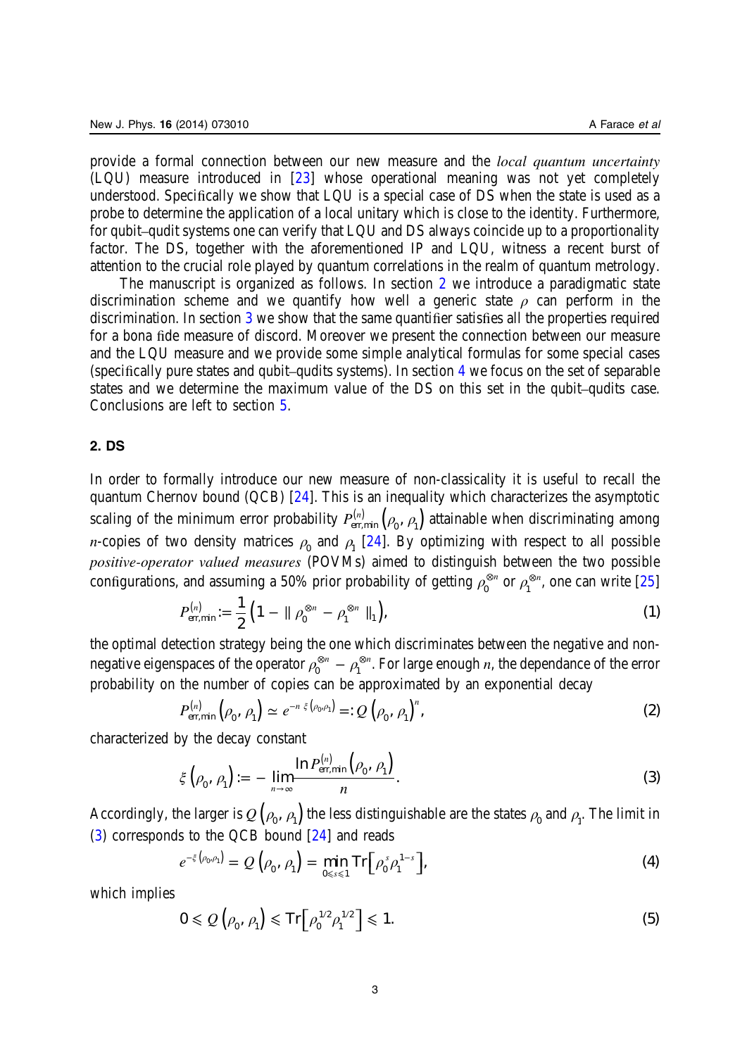<span id="page-3-0"></span>provide a formal connection between our new measure and the local quantum uncertainty (LQU) measure introduced in [\[23](#page-25-0)] whose operational meaning was not yet completely understood. Specifically we show that LQU is a special case of DS when the state is used as a probe to determine the application of a local unitary which is close to the identity. Furthermore, for qubit–qudit systems one can verify that LQU and DS always coincide up to a proportionality factor. The DS, together with the aforementioned IP and LQU, witness a recent burst of attention to the crucial role played by quantum correlations in the realm of quantum metrology.

The manuscript is organized as follows. In section 2 we introduce a paradigmatic state discrimination scheme and we quantify how well a generic state  $\rho$  can perform in the discrimination. In section [3](#page-6-0) we show that the same quantifier satisfies all the properties required for a bona fide measure of discord. Moreover we present the connection between our measure and the LQU measure and we provide some simple analytical formulas for some special cases (specifically pure states and qubit–qudits systems). In section [4](#page-12-0) we focus on the set of separable states and we determine the maximum value of the DS on this set in the qubit–qudits case. Conclusions are left to section [5](#page-20-0).

# 2. DS

In order to formally introduce our new measure of non-classicality it is useful to recall the quantum Chernov bound (QCB) [[24\]](#page-25-0). This is an inequality which characterizes the asymptotic scaling of the minimum error probability  $P_{\rm err,min}^{(n)}\left(\rho_{_0},\,\rho_{_1}\right)$  attainable when discriminating among *n*-copies of two density matrices  $\rho_0$  and  $\rho_1$  [\[24](#page-25-0)]. By optimizing with respect to all possible positive-operator valued measures (POVMs) aimed to distinguish between the two possible configurations, and assuming a 50% prior probability of getting  $\rho_0^{\otimes n}$  or  $\rho_1^{\otimes n}$ , one can write [\[25](#page-25-0)]

$$
P_{\text{err,min}}^{(n)} := \frac{1}{2} \left( 1 - || \rho_0^{\otimes n} - \rho_1^{\otimes n} ||_1 \right), \tag{1}
$$

the optimal detection strategy being the one which discriminates between the negative and nonnegative eigenspaces of the operator  $\rho_0^{\otimes n}-\rho_1^{\otimes n}.$  For large enough  $n,$  the dependance of the error probability on the number of copies can be approximated by an exponential decay

$$
P_{\text{err,min}}^{(n)}\left(\rho_0, \rho_1\right) \simeq e^{-n \xi\left(\rho_0, \rho_1\right)} =: Q\left(\rho_0, \rho_1\right)^n,\tag{2}
$$

characterized by the decay constant

$$
\xi\left(\rho_0, \rho_1\right) := -\lim_{n \to \infty} \frac{\ln P_{\text{err,min}}^{(n)}\left(\rho_0, \rho_1\right)}{n}.\tag{3}
$$

Accordingly, the larger is  $\mathcal{Q}\left(\rho_{0},\,\rho_{1}\right)$  the less distinguishable are the states  $\rho_{_{\!0}}$  and  $\rho_{_{\!1}}.$  The limit in (3) corresponds to the QCB bound [[24\]](#page-25-0) and reads

$$
e^{-\xi(\rho_0,\rho_1)} = Q\left(\rho_0, \rho_1\right) = \min_{0 \le s \le 1} \operatorname{Tr}\big[\rho_0^s \rho_1^{1-s}\big],\tag{4}
$$

which implies

$$
0 \le Q\left(\rho_0, \rho_1\right) \le \operatorname{Tr}\left[\rho_0^{1/2} \rho_1^{1/2}\right] \le 1. \tag{5}
$$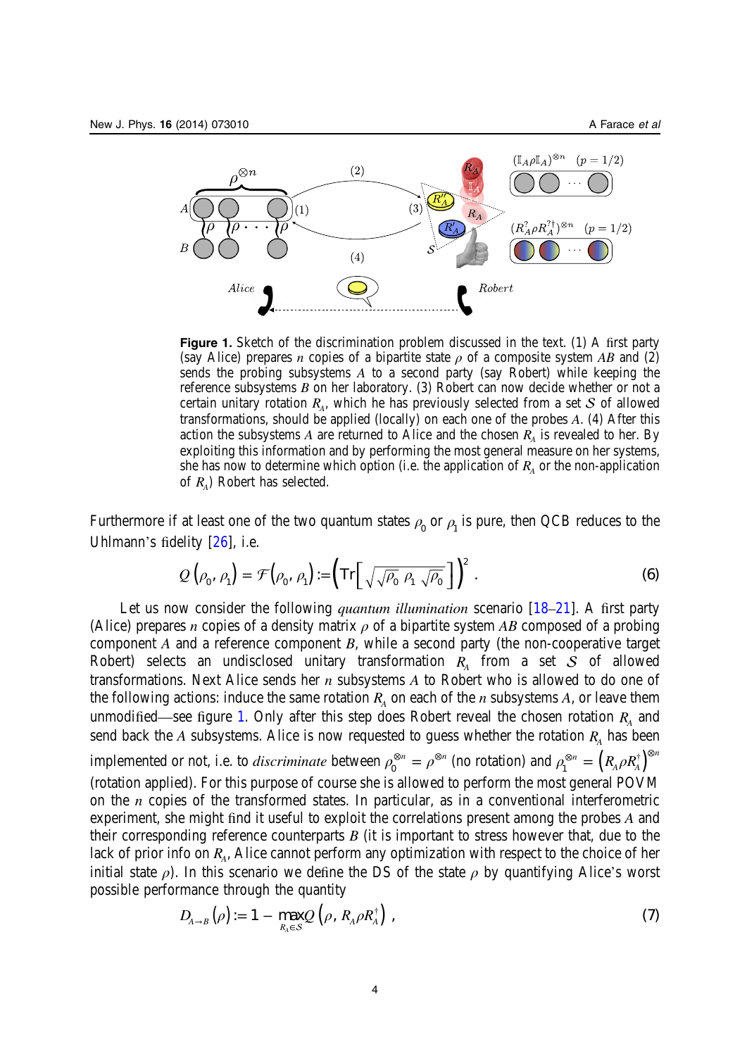<span id="page-4-0"></span>

Figure 1. Sketch of the discrimination problem discussed in the text. (1) A first party (say Alice) prepares *n* copies of a bipartite state  $\rho$  of a composite system AB and (2) sends the probing subsystems A to a second party (say Robert) while keeping the reference subsystems B on her laboratory. (3) Robert can now decide whether or not a certain unitary rotation  $R_A$ , which he has previously selected from a set  $S$  of allowed transformations, should be applied (locally) on each one of the probes A. (4) After this action the subsystems A are returned to Alice and the chosen  $R_{\lambda}$  is revealed to her. By exploiting this information and by performing the most general measure on her systems, she has now to determine which option (i.e. the application of  $R<sub>A</sub>$  or the non-application of *RA*) Robert has selected.

Furthermore if at least one of the two quantum states  $\rho_0$  or  $\rho_1$  is pure, then QCB reduces to the Uhlmann's fidelity [[26\]](#page-25-0), i.e.

$$
Q\left(\rho_0, \rho_1\right) = \mathcal{F}\left(\rho_0, \rho_1\right) := \left(\mathrm{Tr}\left[\sqrt{\sqrt{\rho_0} \ \rho_1 \ \sqrt{\rho_0}}\ \right]\right)^2. \tag{6}
$$

Let us now consider the following *quantum illumination* scenario [\[18](#page-25-0)–[21\]](#page-25-0). A first party (Alice) prepares *n* copies of a density matrix  $\rho$  of a bipartite system AB composed of a probing component A and a reference component B, while a second party (the non-cooperative target Robert) selects an undisclosed unitary transformation  $R<sub>A</sub>$  from a set  $S$  of allowed transformations. Next Alice sends her  $n$  subsystems  $A$  to Robert who is allowed to do one of the following actions: induce the same rotation  $R<sub>A</sub>$  on each of the *n* subsystems *A*, or leave them unmodified—see figure 1. Only after this step does Robert reveal the chosen rotation  $R<sub>A</sub>$  and send back the A subsystems. Alice is now requested to guess whether the rotation  $R<sub>A</sub>$  has been implemented or not, i.e. to *discriminate* between  $\rho_0^{\otimes n}=\rho^{\otimes n}$  (no rotation) and  $\rho_1^{\otimes n}=\left(R_A\rho R_A^{\dagger}\right)^{\otimes n}$ *n* 1 (rotation applied). For this purpose of course she is allowed to perform the most general POVM on the  $n$  copies of the transformed states. In particular, as in a conventional interferometric experiment, she might find it useful to exploit the correlations present among the probes A and their corresponding reference counterparts  $B$  (it is important to stress however that, due to the lack of prior info on  $R_A$ , Alice cannot perform any optimization with respect to the choice of her initial state  $\rho$ ). In this scenario we define the DS of the state  $\rho$  by quantifying Alice's worst possible performance through the quantity

$$
D_{A\rightarrow B}(\rho) := 1 - \max_{R_A \in S} Q(\rho, R_A \rho R_A^{\dagger}), \qquad (7)
$$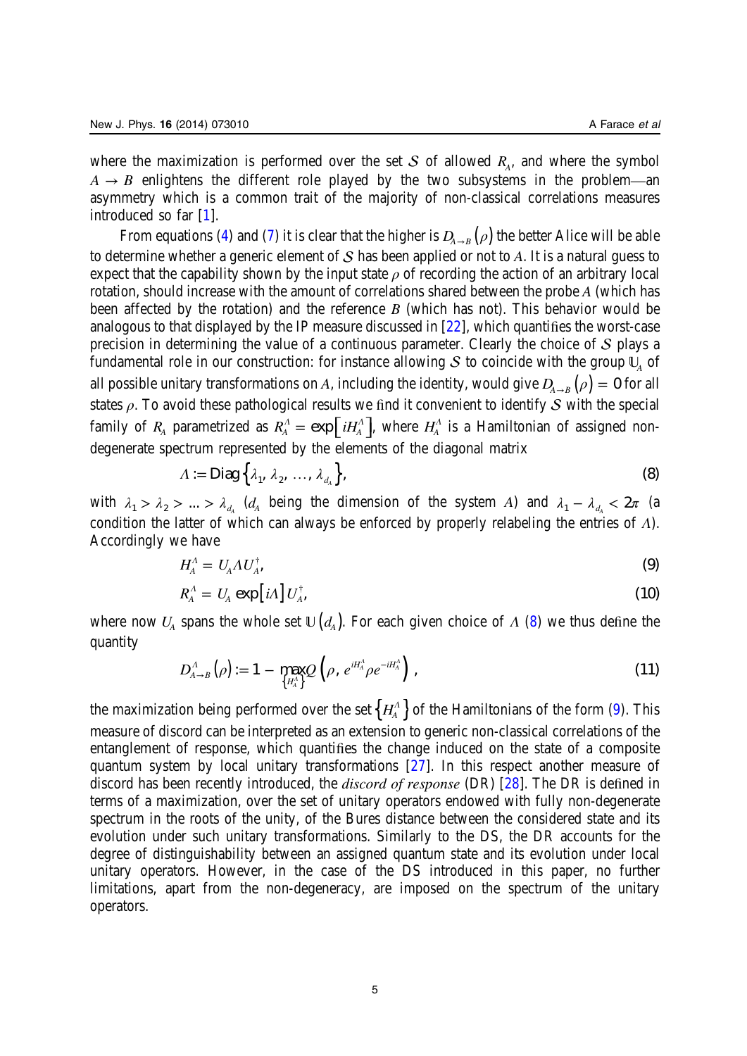<span id="page-5-0"></span>where the maximization is performed over the set  $S$  of allowed  $R_A$ , and where the symbol  $A \rightarrow B$  enlightens the different role played by the two subsystems in the problem—an asymmetry which is a common trait of the majority of non-classical correlations measures introduced so far [[1\]](#page-25-0).

From equations [\(4](#page-3-0)) and ([7\)](#page-4-0) it is clear that the higher is  $D_{A\to B}(\rho)$  the better Alice will be able to determine whether a generic element of  $S$  has been applied or not to A. It is a natural guess to expect that the capability shown by the input state  $\rho$  of recording the action of an arbitrary local rotation, should increase with the amount of correlations shared between the probe A (which has been affected by the rotation) and the reference  $B$  (which has not). This behavior would be analogous to that displayed by the IP measure discussed in [[22\]](#page-25-0), which quantifies the worst-case precision in determining the value of a continuous parameter. Clearly the choice of  $S$  plays a fundamental role in our construction: for instance allowing S to coincide with the group  $\mathbb{U}_A$  of all possible unitary transformations on A, including the identity, would give  $D_{A\to B}(\rho) = 0$  for all states  $\rho$ . To avoid these pathological results we find it convenient to identify S with the special family of  $R_A$  parametrized as  $R_A^A = \exp \int i H_A^A$ , where  $H_A^A$  is a Hamiltonian of assigned nondegenerate spectrum represented by the elements of the diagonal matrix

$$
\Lambda := \text{Diag}\left\{\lambda_1, \lambda_2, \dots, \lambda_{d_A}\right\},\tag{8}
$$

with  $\lambda_1 > \lambda_2 > ... > \lambda_{d_A}$  (*d<sub>A</sub>* being the dimension of the system A) and  $\lambda_1 - \lambda_{d_A} < 2\pi$  (a condition the latter of which can always be enforced by properly relabeling the entries of *Λ*). Accordingly we have

$$
H_A^{\Lambda} = U_A \Lambda U_A^{\dagger}, \tag{9}
$$

$$
R_A^A = U_A \exp \left[ i \Lambda \right] U_A^{\dagger}, \tag{10}
$$

where now  $U_A$  spans the whole set  $\mathbb{U}\left(d_A\right)$ . For each given choice of  $\Lambda$  (8) we thus define the quantity

$$
D_{A\to B}^A(\rho) := 1 - \max_{\{H_A^A\}} Q\left(\rho, e^{iH_A^A} \rho e^{-iH_A^A}\right), \qquad (11)
$$

the maximization being performed over the set  $\left\{H_{\!A}^{\scriptscriptstyle A}\right\}$  of the Hamiltonians of the form (9). This measure of discord can be interpreted as an extension to generic non-classical correlations of the entanglement of response, which quantifies the change induced on the state of a composite quantum system by local unitary transformations [\[27](#page-25-0)]. In this respect another measure of discord has been recently introduced, the *discord of response* (DR) [\[28](#page-25-0)]. The DR is defined in terms of a maximization, over the set of unitary operators endowed with fully non-degenerate spectrum in the roots of the unity, of the Bures distance between the considered state and its evolution under such unitary transformations. Similarly to the DS, the DR accounts for the degree of distinguishability between an assigned quantum state and its evolution under local unitary operators. However, in the case of the DS introduced in this paper, no further limitations, apart from the non-degeneracy, are imposed on the spectrum of the unitary operators.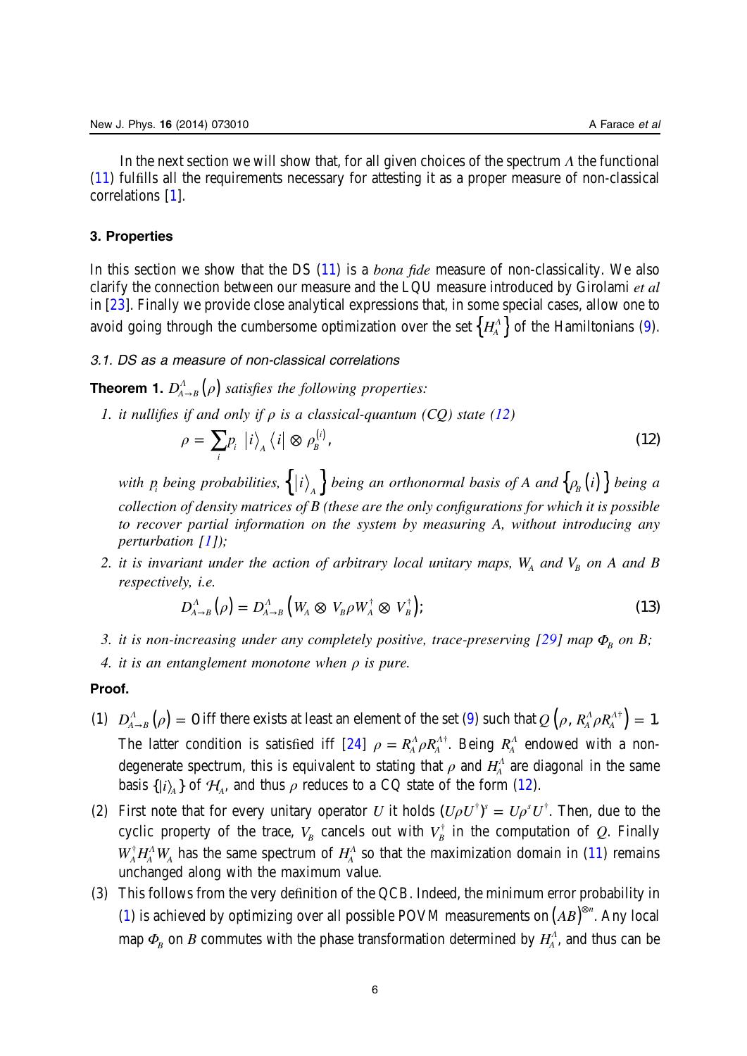<span id="page-6-0"></span>In the next section we will show that, for all given choices of the spectrum *Λ* the functional ([11\)](#page-5-0) fulfills all the requirements necessary for attesting it as a proper measure of non-classical correlations [\[1](#page-25-0)].

#### 3. Properties

In this section we show that the DS [\(11](#page-5-0)) is a *bona fide* measure of non-classicality. We also clarify the connection between our measure and the LQU measure introduced by Girolami et al in [[23\]](#page-25-0). Finally we provide close analytical expressions that, in some special cases, allow one to avoid going through the cumbersome optimization over the set  $\left\{H_{\!A}^{\Lambda}\right\}$  of the Hamiltonians [\(9](#page-5-0)).

# 3.1. DS as a measure of non-classical correlations

**Theorem 1.**  $D_{A\rightarrow B}^{A}(\rho)$  satisfies the following properties:

1. it nullifies if and only if  $\rho$  is a classical-quantum (CQ) state (12)

$$
\rho = \sum_{i} p_i \left| i \right\rangle_A \left\langle i \right| \otimes \rho_B^{(i)}, \tag{12}
$$

with  $p_i$  being probabilities,  $\{ |i \rangle_A \}$  being an orthonormal basis of A and  $\{ \rho_B(i) \}$  being a collection of density matrices of B (these are the only configurations for which it is possible to recover partial information on the system by measuring A, without introducing any perturbation [\[1](#page-25-0)]);

2. it is invariant under the action of arbitrary local unitary maps,  $W_A$  and  $V_B$  on A and B respectively, i.e.

$$
D_{A\to B}^A(\rho) = D_{A\to B}^A(W_A \otimes V_B \rho W_A^{\dagger} \otimes V_B^{\dagger}); \qquad (13)
$$

3. it is non-increasing under any completely positive, trace-preserving [[29\]](#page-25-0) map  $Φ<sub>B</sub>$  on B;

4. it is an entanglement monotone when  $\rho$  is pure.

#### Proof.

- (1)  $D_{A\rightarrow B}^{A}(\rho) = 0$  iff there exists at least an element of the set [\(9](#page-5-0)) such that  $Q(\rho, R_{A}^{A}\rho R_{A}^{A\dagger}) = 1$ . The latter condition is satisfied iff  $[24]$  $[24]$   $\rho = R_A^A \rho R_A^{A\dagger}$ . Being  $R_A^A$  endowed with a nondegenerate spectrum, this is equivalent to stating that  $\rho$  and  $H_A^{\Lambda}$  are diagonal in the same basis  $\{|i\rangle_A\}$  of  $\mathcal{H}_A$ , and thus  $\rho$  reduces to a CQ state of the form (12).
- (2) First note that for every unitary operator U it holds  $(U \rho U^{\dagger})^s = U \rho^s U^{\dagger}$ . Then, due to the cyclic property of the trace,  $V_B$  cancels out with  $V_B^{\dagger}$  in the computation of Q. Finally  $W_A^{\dagger}H_A^A W_A$  has the same spectrum of  $H_A^A$  so that the maximization domain in ([11\)](#page-5-0) remains unchanged along with the maximum value.
- (3) This follows from the very definition of the QCB. Indeed, the minimum error probability in [\(1](#page-3-0)) is achieved by optimizing over all possible POVM measurements on  $(AB)^{\otimes n}$ . Any local map  $\Phi_B$  on *B* commutes with the phase transformation determined by  $H_A^{\Lambda}$ , and thus can be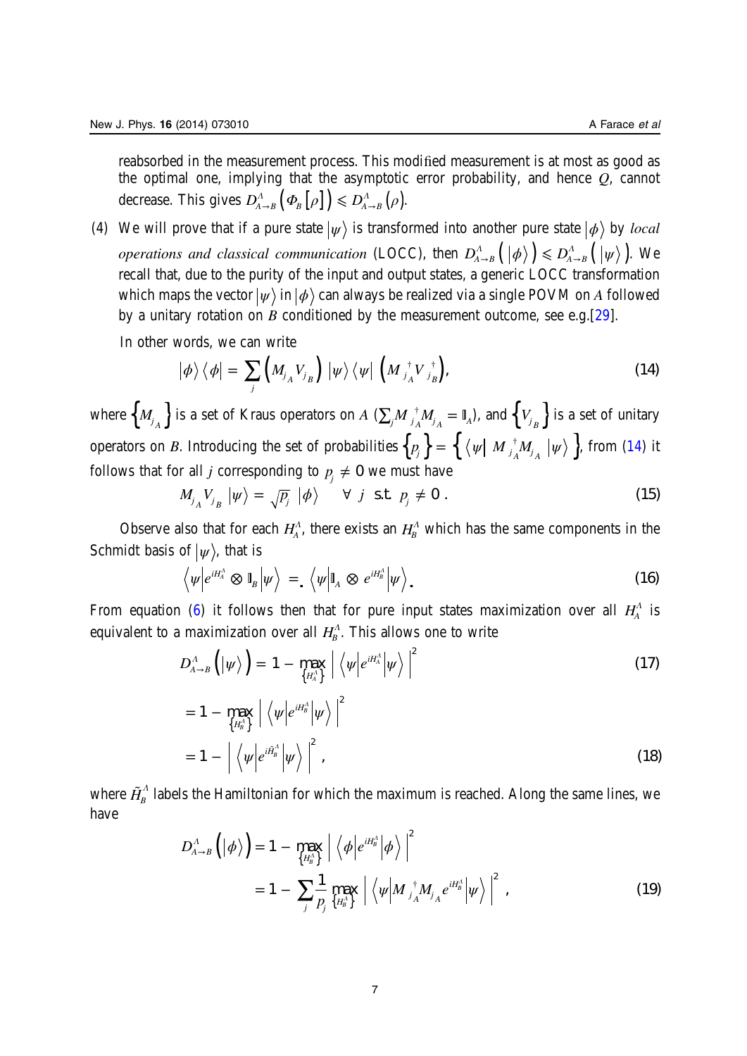<span id="page-7-0"></span>reabsorbed in the measurement process. This modified measurement is at most as good as the optimal one, implying that the asymptotic error probability, and hence Q, cannot decrease. This gives  $D_{A\rightarrow B}^{A}(\varPhi_{B}|\rho|) \le D_{A\rightarrow B}^{A}(\rho)$ .

(4) We will prove that if a pure state  $|\psi\rangle$  is transformed into another pure state  $|\phi\rangle$  by *local operations and classical communication* (LOCC), then  $D_{A\to B}^{\Lambda}(\ket{\phi}) \leq D_{A\to B}^{\Lambda}(\ket{\psi})$ . We recall that, due to the purity of the input and output states, a generic LOCC transformation which maps the vector  $|\psi\rangle$  in  $|\phi\rangle$  can always be realized via a single POVM on A followed by a unitary rotation on B conditioned by the measurement outcome, see e.g.  $[29]$  $[29]$ .

In other words, we can write

$$
\left|\phi\right\rangle\left\langle\phi\right|=\sum_{j}\left(M_{j_{A}}V_{j_{B}}\right)\left|\psi\right\rangle\left\langle\psi\right|\left(M_{j_{A}}^{\dagger}V_{j_{B}}^{\dagger}\right),\tag{14}
$$

where  $\left\{M_{j_A}\right\}$  is a set of Kraus operators on  $A$  ( $\sum_jM_{j_A}^{\ \ \ \ast}M_{j_A}=\mathbb{I}_A$ ), and  $\left\{V_{j_B}\right\}$  is a set of unitary operators on *B*. Introducing the set of probabilities  $\{p_j\} = \{$   $\langle \psi |$   $M_{j_A}^{\dagger} M_{j_A} \ket{\psi} \}$ , from (14) it follows that for all *j* corresponding to  $p_i \neq 0$  we must have

$$
M_{j_A} V_{j_B} \left| \psi \right\rangle = \sqrt{p_j} \left| \phi \right\rangle \quad \forall \ j \ \text{s.t.} \ \ p_j \neq 0 \ . \tag{15}
$$

Observe also that for each  $H_A^A$ , there exists an  $H_B^A$  which has the same components in the Schmidt basis of  $|\psi\rangle$ , that is

$$
\left\langle \psi \middle| e^{iH_A^A} \otimes \mathbb{I}_B \middle| \psi \right\rangle = \left\langle \psi \middle| \mathbb{I}_A \otimes e^{iH_B^A} \middle| \psi \right\rangle. \tag{16}
$$

From equation ([6\)](#page-4-0) it follows then that for pure input states maximization over all *<sup>Λ</sup> HA* is equivalent to a maximization over all  $H_B^A$ . This allows one to write

$$
D_{A\rightarrow B}^{A}\left(\left|\psi\right\rangle\right)=1-\max_{\left\{H_{A}^{A}\right\}}\left|\left\langle \psi\middle|e^{iH_{A}^{A}}\middle|\psi\right\rangle \right|^{2} \tag{17}
$$

$$
= 1 - \max_{\{H_{B}^{\Lambda}\}} \left| \left\langle \psi \middle| e^{i H_{B}^{\Lambda}} \middle| \psi \right\rangle \right|^{2}
$$
  

$$
= 1 - \left| \left\langle \psi \middle| e^{i \tilde{H}_{B}^{\Lambda}} \middle| \psi \right\rangle \right|^{2}, \qquad (18)
$$

where  $H_B^A$  labels the Hamiltonian for which the maximum is reached. Along the same lines, we have

$$
D_{A\rightarrow B}^{A}\left(\left|\phi\right\rangle\right) = 1 - \max_{\left\{H_{B}^{A}\right\}} \left| \left\langle \phi \middle| e^{iH_{B}^{A}} \middle| \phi \right\rangle \right|^{2}
$$
  
= 1 - 
$$
\sum_{j} \frac{1}{p_{j}} \max_{\left\{H_{B}^{A}\right\}} \left| \left\langle \psi \middle| M \right\rangle_{A}^{\dagger} M_{j} e^{iH_{B}^{A}} \middle| \psi \right\rangle \right|^{2}, \qquad (19)
$$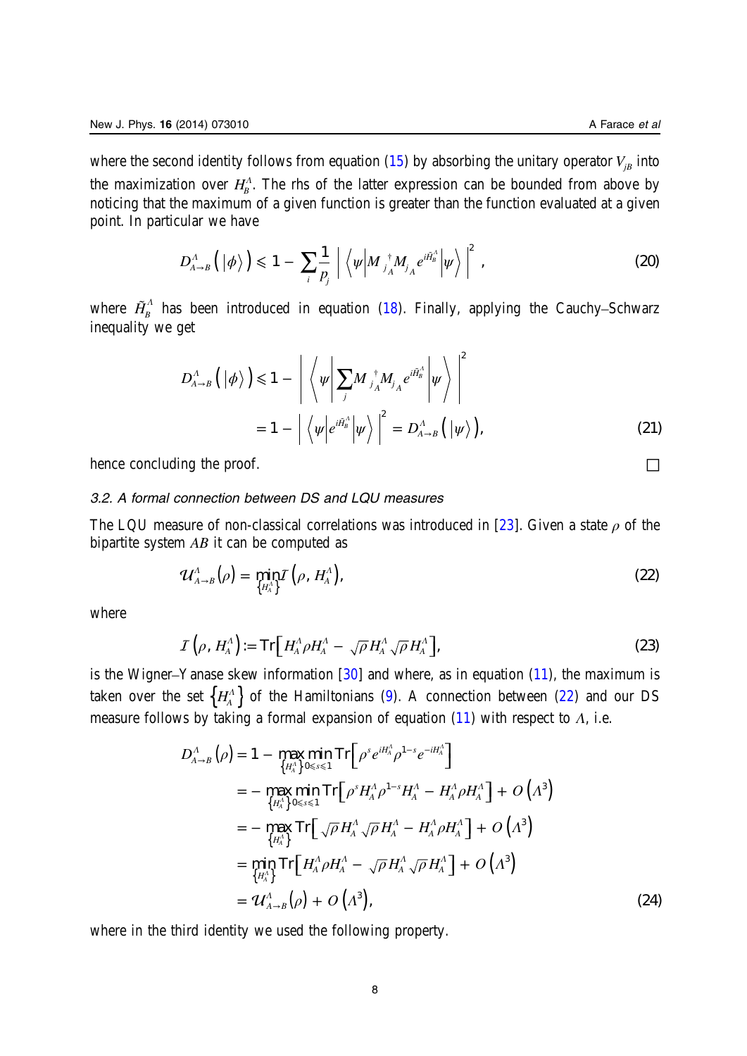<span id="page-8-0"></span>where the second identity follows from equation [\(15](#page-7-0)) by absorbing the unitary operator  $V_{iB}$  into the maximization over  $H_{B}^{\Lambda}$ . The rhs of the latter expression can be bounded from above by noticing that the maximum of a given function is greater than the function evaluated at a given point. In particular we have

$$
D_{A\to B}^{\Lambda}\left(\left|\phi\right\rangle\right) \leq 1 - \sum_{i} \frac{1}{p_j} \left| \left\langle \psi \middle| M_{j_A}^{\dagger} M_{j_A} e^{i \tilde{H}_B^{\Lambda}} \middle| \psi \right\rangle \right|^2, \qquad (20)
$$

where  $\tilde{H}_{B}^{A}$  has been introduced in equation [\(18](#page-7-0)). Finally, applying the Cauchy–Schwarz inequality we get

$$
D_{A\to B}^{\Lambda}\left(\left|\phi\right\rangle\right) \leq 1 - \left|\left\langle \psi \middle| \sum_{j} M_{j_{A}}^{\dagger} M_{j_{A}} e^{i\tilde{H}_{B}^{\Lambda}} \middle| \psi \right\rangle \right|^{2}
$$
  
= 1 - \left|\left\langle \psi \middle| e^{i\tilde{H}\_{B}^{\Lambda}} \middle| \psi \right\rangle \right|^{2} = D\_{A\to B}^{\Lambda}\left(\left|\psi\right\rangle\right), \tag{21}

hence concluding the proof.  $\Box$ 

# 3.2. A formal connection between DS and LQU measures

The LQU measure of non-classical correlations was introduced in [[23\]](#page-25-0). Given a state  $\rho$  of the bipartite system AB it can be computed as

$$
\mathcal{U}_{A\rightarrow B}^{A}(\rho) = \min_{\{H_A^A\}} \mathcal{I}\left(\rho, H_A^A\right),\tag{22}
$$

where

$$
\mathcal{I}\left(\rho, H_A^{\Lambda}\right) := \mathrm{Tr}\left[H_A^{\Lambda} \rho H_A^{\Lambda} - \sqrt{\rho} H_A^{\Lambda} \sqrt{\rho} H_A^{\Lambda}\right],\tag{23}
$$

is the Wigner–Yanase skew information  $[30]$  $[30]$  and where, as in equation  $(11)$  $(11)$ , the maximum is taken over the set  $\left\{H_{\!A}^{\Lambda}\right\}$  of the Hamiltonians [\(9](#page-5-0)). A connection between (22) and our DS measure follows by taking a formal expansion of equation [\(11](#page-5-0)) with respect to *Λ*, i.e.

$$
D_{A\to B}^{\Lambda}(\rho) = 1 - \max_{\{H_A^{\Lambda}\}} \min_{0 \le s \le 1} \text{Tr} \left[ \rho^{s} e^{iH_A^{\Lambda}} \rho^{1-s} e^{-iH_A^{\Lambda}} \right]
$$
  
\n
$$
= - \max_{\{H_A^{\Lambda}\}} \min_{0 \le s \le 1} \text{Tr} \left[ \rho^{s} H_A^{\Lambda} \rho^{1-s} H_A^{\Lambda} - H_A^{\Lambda} \rho H_A^{\Lambda} \right] + O \left( \Lambda^{3} \right)
$$
  
\n
$$
= - \max_{\{H_A^{\Lambda}\}} \text{Tr} \left[ \sqrt{\rho} H_A^{\Lambda} \sqrt{\rho} H_A^{\Lambda} - H_A^{\Lambda} \rho H_A^{\Lambda} \right] + O \left( \Lambda^{3} \right)
$$
  
\n
$$
= \min_{\{H_A^{\Lambda}\}} \text{Tr} \left[ H_A^{\Lambda} \rho H_A^{\Lambda} - \sqrt{\rho} H_A^{\Lambda} \sqrt{\rho} H_A^{\Lambda} \right] + O \left( \Lambda^{3} \right)
$$
  
\n
$$
= \mathcal{U}_{A\to B}^{\Lambda}(\rho) + O \left( \Lambda^{3} \right), \tag{24}
$$

where in the third identity we used the following property.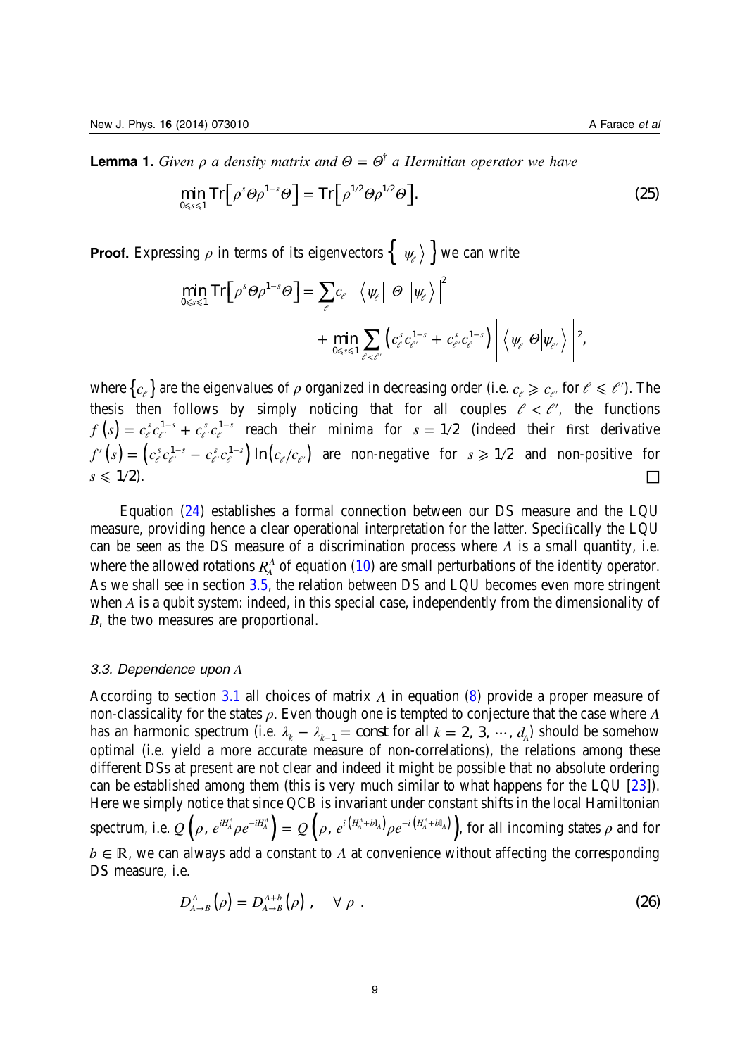<span id="page-9-0"></span>**Lemma 1.** Given  $\rho$  a density matrix and  $\Theta = \Theta^{\dagger}$  a Hermitian operator we have

$$
\min_{0 \le s \le 1} \operatorname{Tr} \left[ \rho^s \Theta \rho^{1-s} \Theta \right] = \operatorname{Tr} \left[ \rho^{1/2} \Theta \rho^{1/2} \Theta \right]. \tag{25}
$$

**Proof.** Expressing  $\rho$  in terms of its eigenvectors  $\{ | \psi_{\ell} \rangle \}$  we can write

$$
\min_{0 \leq s \leq 1} \text{Tr} \Big[ \rho^s \Theta \rho^{1-s} \Theta \Big] = \sum_{\ell} c_{\ell} \Big| \Big\langle \psi_{\ell} \Big| \Theta \Big| \psi_{\ell} \Big\rangle \Big|^{2} + \min_{0 \leq s \leq 1} \sum_{\ell < \ell'} \Big( c_{\ell}^{s} c_{\ell'}^{1-s} + c_{\ell'}^{s} c_{\ell}^{1-s} \Big) \Big| \Big\langle \psi_{\ell} \Big| \Theta \Big| \psi_{\ell'} \Big\rangle \Big|^{2},
$$

where  ${c_{\ell}}$  are the eigenvalues of  $\rho$  organized in decreasing order (i.e.  $c_{\ell} \geq c_{\ell'}$  for  $\ell \leq \ell'$ ). The thesis then follows by simply noticing that for all couples  $\ell < \ell'$ , the functions  $= c_{\ell}^{s} c_{\ell'}^{1-s} +$  $f(s) = c_e^s c_{e'}^{1-s} + c_{e'}^s c_e^{1-s}$  reach their minima for  $s = 1/2$  (indeed their first derivative  $\sigma' (s) = (c_{e}^{s} c_{e'}^{1-s}$  $f'(s) = (c_e^s c_{e'}^{1-s} - c_{e'}^s c_e^{1-s}) \ln(c_e/c_{e'})$  are non-negative for  $s \ge 1/2$  and non-positive for  $s \leqslant 1/2$ ).

Equation ([24](#page-8-0)) establishes a formal connection between our DS measure and the LQU measure, providing hence a clear operational interpretation for the latter. Specifically the LQU can be seen as the DS measure of a discrimination process where *Λ* is a small quantity, i.e. where the allowed rotations *R<sub>A</sub>* of equation [\(10](#page-5-0)) are small perturbations of the identity operator. As we shall see in section [3.5,](#page-11-0) the relation between DS and LQU becomes even more stringent when A is a qubit system: indeed, in this special case, independently from the dimensionality of B, the two measures are proportional.

#### 3.3. Dependence upon Λ

According to section [3.1](#page-6-0) all choices of matrix *Λ* in equation [\(8](#page-5-0)) provide a proper measure of non-classicality for the states ρ. Even though one is tempted to conjecture that the case where *Λ* has an harmonic spectrum (i.e.  $\lambda_k - \lambda_{k-1} = \text{const}$  for all  $k = 2, 3, \dots, d_A$ ) should be somehow optimal (i.e. yield a more accurate measure of non-correlations), the relations among these different DSs at present are not clear and indeed it might be possible that no absolute ordering can be established among them (this is very much similar to what happens for the LQU [\[23](#page-25-0)]). Here we simply notice that since QCB is invariant under constant shifts in the local Hamiltonian  ${\rm spectrum,\ i.e.\ }Q\left(\rho,\ e^{iH_A^A}\rho e^{-iH_A^A}\right)=Q\left(\rho,\ e^{i\left(H_A^A+b{\mathbb I}_A\right)}\rho e^{-i\left(H_A^A+b{\mathbb I}_A\right)}\right)\!,$  for all incoming states  $\rho$  and for  $b \in \mathbb{R}$ , we can always add a constant to *Λ* at convenience without affecting the corresponding DS measure, i.e.

$$
D_{A\to B}^A(\rho) = D_{A\to B}^{A+b}(\rho) , \quad \forall \rho .
$$
 (26)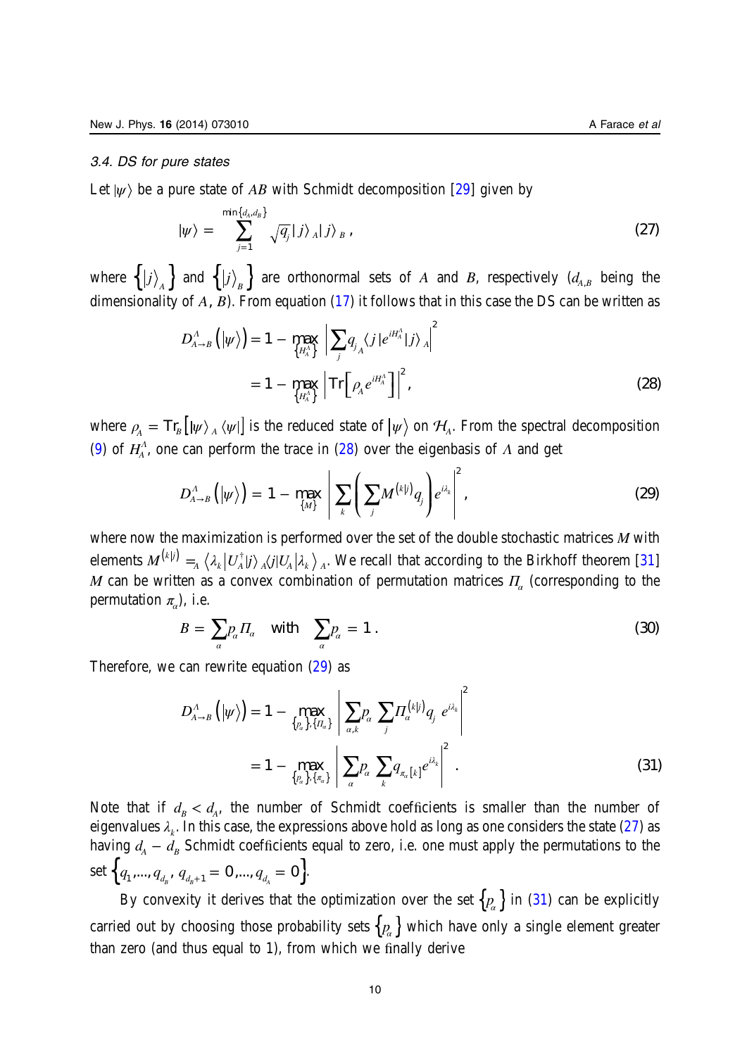<span id="page-10-0"></span>Let  $|\psi\rangle$  be a pure state of AB with Schmidt decomposition [\[29\]](#page-25-0) given by

$$
|\psi\rangle = \sum_{j=1}^{\min\{d_A, d_B\}} \sqrt{q_j} |j\rangle_A |j\rangle_B , \qquad (27)
$$

where  $\{\ket{j}_A\}$  and  $\{\ket{j}_B\}$  are orthonormal sets of  $A$  and  $B$ , respectively  $(d_{A,B}$  being the dimensionality of *A*, *B*). From equation [\(17](#page-7-0)) it follows that in this case the DS can be written as

$$
D_{A\to B}^{A}(|\psi\rangle) = 1 - \max_{\{H_A^A\}} \left| \sum_{j} q_{j_A} \langle j|e^{iH_A^A} |j\rangle_A \right|^2
$$
  
= 1 - \max\_{\{H\_A^A\}} \left| \text{Tr} \left[ \rho\_A e^{iH\_A^A} \right] \right|^2, (28)

where  $\rho_A = \text{Tr}_B [|\psi\rangle]_A \langle \psi|]$  is the reduced state of  $|\psi\rangle$  on  $\mathcal{H}_A$ . From the spectral decomposition ([9\)](#page-5-0) of  $H_A^A$ , one can perform the trace in (28) over the eigenbasis of  $\Lambda$  and get

$$
D_{A\rightarrow B}^{A}\left(\left|\psi\right\rangle\right)=1-\max_{\left\{M\right\}}\left|\sum_{k}\left(\sum_{j}M^{\left(k\right|j\right)}q_{j}\right)e^{i\lambda_{k}}\right|^{2},\tag{29}
$$

where now the maximization is performed over the set of the double stochastic matrices M with elements  $M^{(kj)} =_A \left<\lambda_k\middle|U_A^\dagger\middle|j\right>_{A}\left< j\middle|U_A\middle|\lambda_k\right>_{A}.$  We recall that according to the Birkhoff theorem [\[31](#page-26-0)] M can be written as a convex combination of permutation matrices  $\Pi_{\alpha}$  (corresponding to the permutation  $\pi$ <sub>*a*</sub>), i.e.

$$
B = \sum_{\alpha} p_{\alpha} \Pi_{\alpha} \quad \text{with} \quad \sum_{\alpha} p_{\alpha} = 1 \tag{30}
$$

Therefore, we can rewrite equation (29) as

$$
D_{A\to B}^{\Lambda}\left(|\psi\rangle\right) = 1 - \max_{\{p_a\},\{H_a\}} \left| \sum_{a,k} p_a \sum_j \prod_a^{(k|j)} q_j e^{i\lambda_k} \right|^2
$$
  
= 1 - \max\_{\{p\_a\},\{h\_a\}} \left| \sum\_{a} p\_a \sum\_{k} q\_{\pi\_a[k]} e^{i\lambda\_k} \right|^2. (31)

Note that if  $d_B < d_A$ , the number of Schmidt coefficients is smaller than the number of eigenvalues  $\lambda_k$ . In this case, the expressions above hold as long as one considers the state (27) as having  $d_A - d_B$  Schmidt coefficients equal to zero, i.e. one must apply the permutations to the set  $\left\{ q_{1},..., q_{d_{a}}, q_{d_{a+1}} = 0, ..., q_{d_{a}} = 0 \right\}.$ 

By convexity it derives that the optimization over the set  $\{p_a\}$  in (31) can be explicitly carried out by choosing those probability sets  $\{ {\mathcal{P}_{\alpha}} \}$  which have only a single element greater than zero (and thus equal to 1), from which we finally derive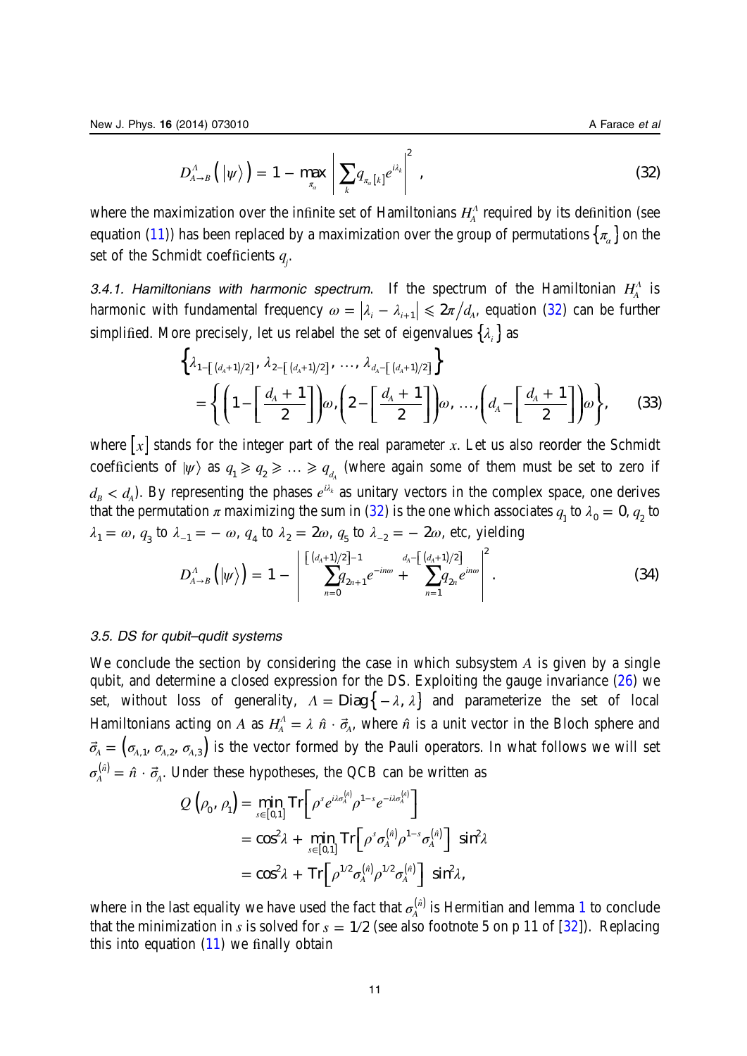$$
D_{A\rightarrow B}^{A}\left(\left|\psi\right\rangle\right)=1-\max_{\pi_{a}}\left|\sum_{k}q_{\pi_{a}\left[k\right]}e^{i\lambda_{k}}\right|^{2}\,,\tag{32}
$$

<span id="page-11-0"></span>where the maximization over the infinite set of Hamiltonians  $H^{\Lambda}_{A}$  required by its definition (see equation ([11\)](#page-5-0)) has been replaced by a maximization over the group of permutations  $\{\pi_{\alpha}\}\$  on the set of the Schmidt coefficients *qj* .

3.4.1. Hamiltonians with harmonic spectrum. If the spectrum of the Hamiltonian  $H_A^{\Lambda}$  is harmonic with fundamental frequency  $\omega = |\lambda_i - \lambda_{i+1}| \leq 2\pi/d_A$ , equation [\(32](#page-10-0)) can be further simplified. More precisely, let us relabel the set of eigenvalues  $\{\lambda_i\}$  as

$$
\left\{\lambda_{1-\left[\frac{(d_{A}+1)}{2}\right]}, \lambda_{2-\left[\frac{(d_{A}+1)}{2}\right]}, \ldots, \lambda_{d_{A}-\left[\frac{(d_{A}+1)}{2}\right]}\right\}
$$
\n
$$
= \left\{\left(1-\left[\frac{d_{A}+1}{2}\right]\right)\omega, \left(2-\left[\frac{d_{A}+1}{2}\right]\right)\omega, \ldots, \left(d_{A}-\left[\frac{d_{A}+1}{2}\right]\right)\omega\right\},\tag{33}
$$

where  $[x]$  stands for the integer part of the real parameter x. Let us also reorder the Schmidt coefficients of  $|\psi\rangle$  as  $q_1 \geqslant q_2 \geqslant ... \geqslant q_{d_A}$  (where again some of them must be set to zero if  $d_B < d_A$ ). By representing the phases  $e^{i\lambda_k}$  as unitary vectors in the complex space, one derives that the permutation  $\pi$  maximizing the sum in ([32](#page-10-0)) is the one which associates  $q_{1}$  to  $\lambda_{0} = 0$ ,  $q_{2}$  to *λ*<sub>1</sub> = *ω*, *q*<sub>3</sub> to *λ*<sub>−1</sub> = − *ω*, *q*<sub>4</sub> to *λ*<sub>2</sub> = 2*ω*, *q*<sub>5</sub> to *λ*<sub>−2</sub> = − 2*ω*, etc, yielding

$$
D_{A\to B}^{A}\left(|\psi\rangle\right) = 1 - \left|\sum_{n=0}^{\left[\frac{(d_A+1)/2}{2}\right]-1} \sum_{n=1}^{d_A-\left[\frac{(d_A+1)/2}{2}\right]} e^{in\omega} + \sum_{n=1}^{d_A-\left[\frac{(d_A+1)/2}{2}\right]} e^{in\omega}\right|^{2}.
$$
 (34)

### 3.5. DS for qubit–qudit systems

We conclude the section by considering the case in which subsystem A is given by a single qubit, and determine a closed expression for the DS. Exploiting the gauge invariance [\(26](#page-9-0)) we set, without loss of generality,  $\Lambda = \text{Diag} \{-\lambda, \lambda\}$  and parameterize the set of local Hamiltonians acting on A as  $H_A^A = \lambda \hat{n} \cdot \vec{\sigma}_A$ , where  $\hat{n}$  is a unit vector in the Bloch sphere and  $\vec{\sigma}_A = (\sigma_{A,1}, \sigma_{A,2}, \sigma_{A,3})$  is the vector formed by the Pauli operators. In what follows we will set  $\sigma^{(\hat{n})}_A = \hat{n} \cdot \vec{\sigma}_{\!\scriptscriptstyle\beta}$  $\hat{a}^{\hat{n}} = \hat{n} \cdot \vec{\sigma}_A$ . Under these hypotheses, the QCB can be written as

$$
Q\left(\rho_{0}, \rho_{1}\right) = \min_{s \in [0,1]} \text{Tr}\left[\rho^{s} e^{i\lambda \sigma_{A}^{(n)}} \rho^{1-s} e^{-i\lambda \sigma_{A}^{(n)}}\right]
$$
  
=  $\cos^{2} \lambda + \min_{s \in [0,1]} \text{Tr}\left[\rho^{s} \sigma_{A}^{(n)} \rho^{1-s} \sigma_{A}^{(n)}\right] \sin^{2} \lambda$   
=  $\cos^{2} \lambda + \text{Tr}\left[\rho^{1/2} \sigma_{A}^{(n)} \rho^{1/2} \sigma_{A}^{(n)}\right] \sin^{2} \lambda$ ,

where in the last equality we have used the fact that  $\sigma_A^{(\hat{n})}$  is Hermitian and lemma [1](#page-9-0) to conclude that the minimization in s is solved for  $s = 1/2$  (see also footnote 5 on p 11 of [\[32](#page-26-0)]). Replacing this into equation  $(11)$  $(11)$  we finally obtain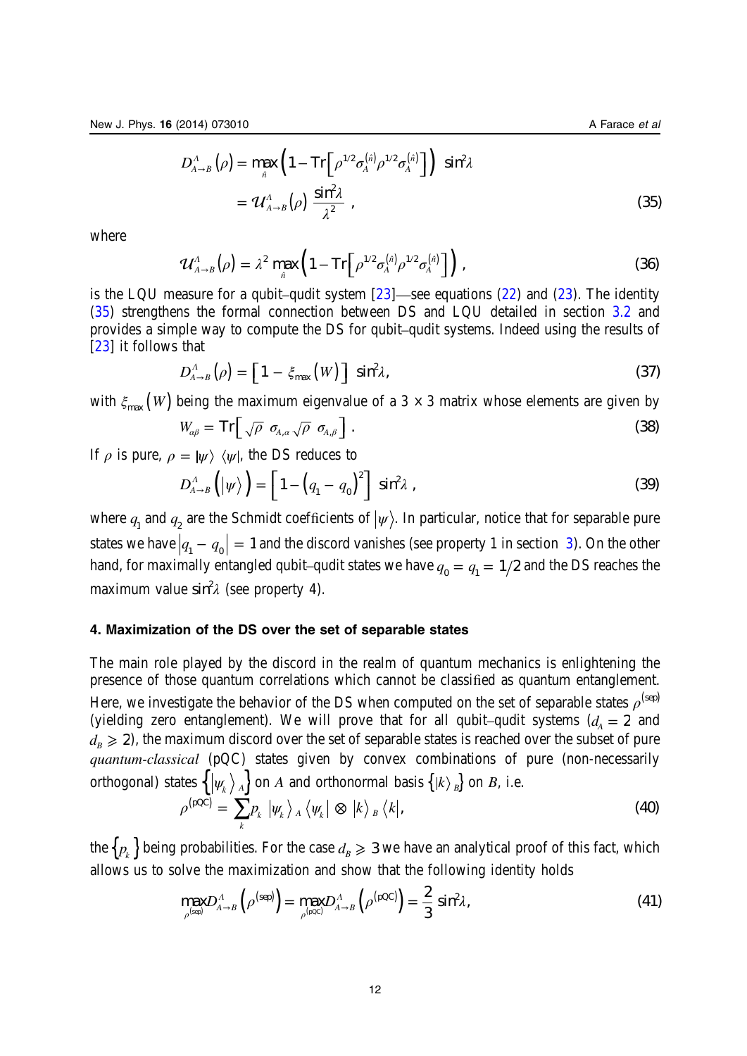<span id="page-12-0"></span>
$$
D_{A\to B}^{\Lambda}(\rho) = \max_{\hat{n}} \left( 1 - \text{Tr} \left[ \rho^{1/2} \sigma_A^{(\hat{n})} \rho^{1/2} \sigma_A^{(\hat{n})} \right] \right) \sin^2 \lambda
$$
  
=  $\mathcal{U}_{A\to B}^{\Lambda}(\rho) \frac{\sin^2 \lambda}{\lambda^2}$ , (35)

where

$$
\mathcal{U}_{A\rightarrow B}^{A}(\rho) = \lambda^{2} \max_{\hat{n}} \left(1 - \text{Tr}\left[\rho^{1/2} \sigma_{A}^{(\hat{n})} \rho^{1/2} \sigma_{A}^{(\hat{n})}\right]\right), \qquad (36)
$$

is the LQU measure for a qubit–qudit system  $[23]$  $[23]$ —see equations ([22\)](#page-8-0) and ([23\)](#page-8-0). The identity ([35\)](#page-11-0) strengthens the formal connection between DS and LQU detailed in section [3.2](#page-8-0) and provides a simple way to compute the DS for qubit–qudit systems. Indeed using the results of [[23\]](#page-25-0) it follows that

$$
D_{A\to B}^A(\rho) = \left[1 - \xi_{\text{max}}(W)\right] \sin^2 \lambda, \tag{37}
$$

with  $\xi_{\text{max}}(W)$  being the maximum eigenvalue of a 3  $\times$  3 matrix whose elements are given by

$$
W_{\alpha\beta} = \text{Tr}\Big[\sqrt{\rho} \ \sigma_{A,\alpha}\sqrt{\rho} \ \sigma_{A,\beta}\Big].
$$
 (38)

If  $\rho$  is pure,  $\rho = |\psi\rangle \langle \psi|$ , the DS reduces to

$$
D_{A\to B}^{A}\left(\left|\psi\right\rangle\right) = \left[1 - \left(q_{1} - q_{0}\right)^{2}\right] \sin^{2}\lambda , \qquad (39)
$$

where  $q_1$  and  $q_2$  are the Schmidt coefficients of  $|\psi\rangle$ . In particular, notice that for separable pure states we have  $|q_1 - q_0| = 1$  and the discord vanishes (see property 1 in section [3](#page-6-0)). On the other hand, for maximally entangled qubit–qudit states we have  $q_0 = q_1 = 1/2$  and the DS reaches the maximum value sin<sup>2</sup>λ (see property 4).

### 4. Maximization of the DS over the set of separable states

The main role played by the discord in the realm of quantum mechanics is enlightening the presence of those quantum correlations which cannot be classified as quantum entanglement. Here, we investigate the behavior of the DS when computed on the set of separable states  $\rho^{\text{(sep)}}$ (yielding zero entanglement). We will prove that for all qubit–qudit systems  $(d_A = 2 \text{ and }$  $d_B \geq 2$ ), the maximum discord over the set of separable states is reached over the subset of pure quantum-classical (pQC) states given by convex combinations of pure (non-necessarily orthogonal) states  $\{|{\psi_k}\rangle_A\}$  on A and orthonormal basis  $\{|k\rangle_B\}$  on B, i.e. pQC

$$
\rho^{(\text{pQC})} = \sum_{k} p_k \, |\psi_k \rangle_A \, \langle \psi_k | \otimes |k \rangle_B \, \langle k|,
$$
\n(40)

\nsince probability. For the case,  $l > 2$  are have an analytical proof of this fact, which

the  ${p_k}$  being probabilities. For the case  $d_B \geq 3$  we have an analytical proof of this fact, which allows us to solve the maximization and show that the following identity holds

$$
\max_{\rho^{(\text{sep})}} D_{A\to B}^A \left( \rho^{(\text{sep})} \right) = \max_{\rho^{(\text{pop})}} D_{A\to B}^A \left( \rho^{(\text{pQC})} \right) = \frac{2}{3} \sin^2 \lambda, \tag{41}
$$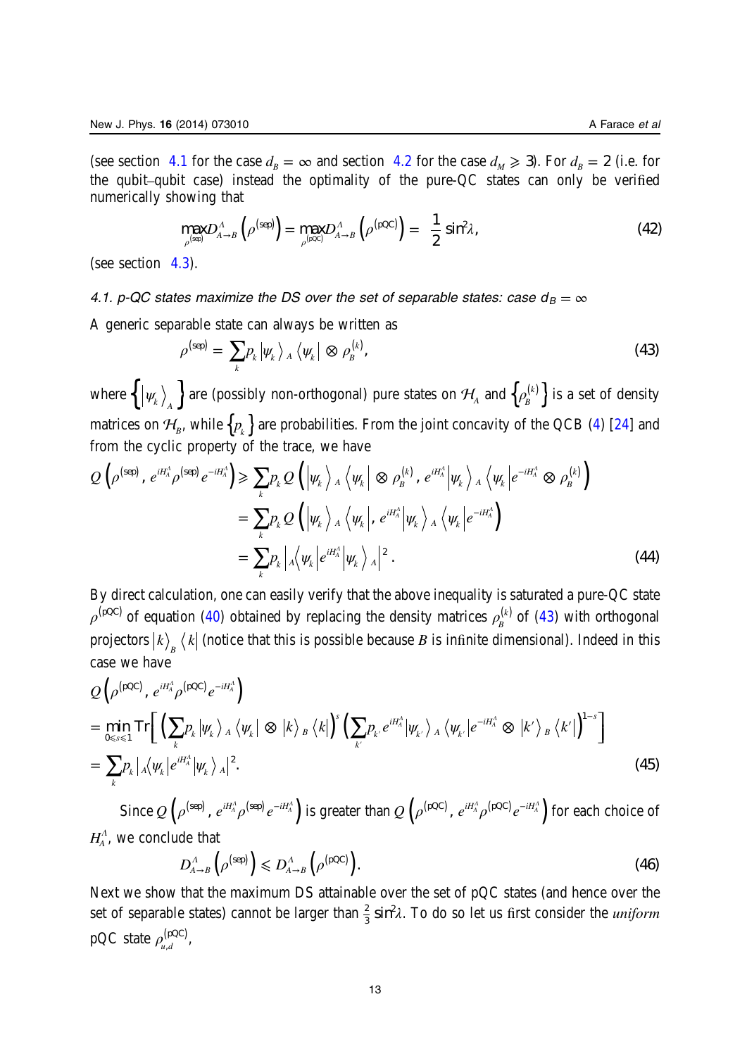<span id="page-13-0"></span>(see section 4.1 for the case  $d_B = \infty$  and section [4.2](#page-16-0) for the case  $d_M \ge 3$ ). For  $d_B = 2$  (i.e. for the qubit–qubit case) instead the optimality of the pure-QC states can only be verified numerically showing that

$$
\max_{\rho^{(\text{sep})}} D_{A\to B}^A \left( \rho^{(\text{sep})} \right) = \max_{\rho^{(\text{pop})}} D_{A\to B}^A \left( \rho^{(\text{pQC})} \right) = \frac{1}{2} \sin^2 \lambda, \tag{42}
$$

(see section [4.3](#page-17-0)).

4.1. p-QC states maximize the DS over the set of separable states: case  $d_B = \infty$ 

A generic separable state can always be written as

$$
\rho^{\text{(sep)}} = \sum_{k} p_k |\psi_k\rangle_A \langle \psi_k | \otimes \rho_k^{(k)}, \qquad (43)
$$

where  $\left\{\ket{\psi_k}_A\right\}$  are (possibly non-orthogonal) pure states on  $\mathcal{H}_A$  and  $\left\{\rho^{(k)}_B\right\}$  is a set of density matrices on  $\mathcal{H}_B$ , while  $\{p_k\}$  are probabilities. From the joint concavity of the QCB ([4\)](#page-3-0) [[24\]](#page-25-0) and from the cyclic property of the trace, we have

$$
Q\left(\rho^{(\text{sep})}, e^{iH_A^A} \rho^{(\text{sep})} e^{-iH_A^A}\right) \ge \sum_k p_k Q\left(\left|\psi_k\right\rangle_A \left\langle \psi_k\right| \otimes \rho_B^{(k)}, e^{iH_A^A} \left|\psi_k\right\rangle_A \left\langle \psi_k\right| e^{-iH_A^A} \otimes \rho_B^{(k)}\right)
$$
  

$$
= \sum_k p_k Q\left(\left|\psi_k\right\rangle_A \left\langle \psi_k\right|, e^{iH_A^A} \left|\psi_k\right\rangle_A \left\langle \psi_k\right| e^{-iH_A^A}\right)
$$
  

$$
= \sum_k p_k \left|A\left\langle \psi_k\right| e^{iH_A^A} \left|\psi_k\right\rangle_A\right|^2.
$$
 (44)

By direct calculation, one can easily verify that the above inequality is saturated a pure-QC state  $\rho^{(\text{pQC})}$  of equation ([40\)](#page-12-0) obtained by replacing the density matrices  $\rho^{(k)}_B$  of (43) with orthogonal projectors  $\ket{k}_{{}_B}\bra{k}$  (notice that this is possible because  $B$  is infinite dimensional). Indeed in this case we have

$$
Q\left(\rho^{(\text{pQC})}, e^{iH_A^A} \rho^{(\text{pQC})} e^{-iH_A^A}\right)
$$
  
= 
$$
\min_{0 \le s \le 1} \text{Tr}\left[\left(\sum_k p_k |\psi_k\rangle_A \langle \psi_k| \otimes |k\rangle_B \langle k|\right)^s \left(\sum_{k'} p_{k'} e^{iH_A^A} |\psi_{k'}\rangle_A \langle \psi_{k'}| e^{-iH_A^A} \otimes |k'\rangle_B \langle k'|\right)^{1-s}\right]
$$
  
= 
$$
\sum_k p_k |\mathbf{A} \langle \psi_k| e^{iH_A^A} |\psi_k\rangle_A|^2.
$$
 (45)

Since  $Q\left(\rho^{(\text{sep})}, e^{iH_A^A}\rho^{(\text{sep})}e^{-iH_A^A}\right)$  is greater than  $Q\left(\rho^{(\text{pQC})}, e^{iH_A^A}\rho^{(\text{pQC})}e^{-iH_A^A}\right)$  for each choice of  $H_A^A$ , we conclude that

$$
D_{A\to B}^A\left(\rho^{\text{(sep)}}\right) \leqslant D_{A\to B}^A\left(\rho^{\text{(pQC)}}\right). \tag{46}
$$

Next we show that the maximum DS attainable over the set of pQC states (and hence over the set of separable states) cannot be larger than  $\frac{2}{3}$  sin<sup>2</sup> $\lambda$ . To do so let us first consider the *uniform*  $pQC$  state  $\rho_{u,d}^{(pQC)}$ ,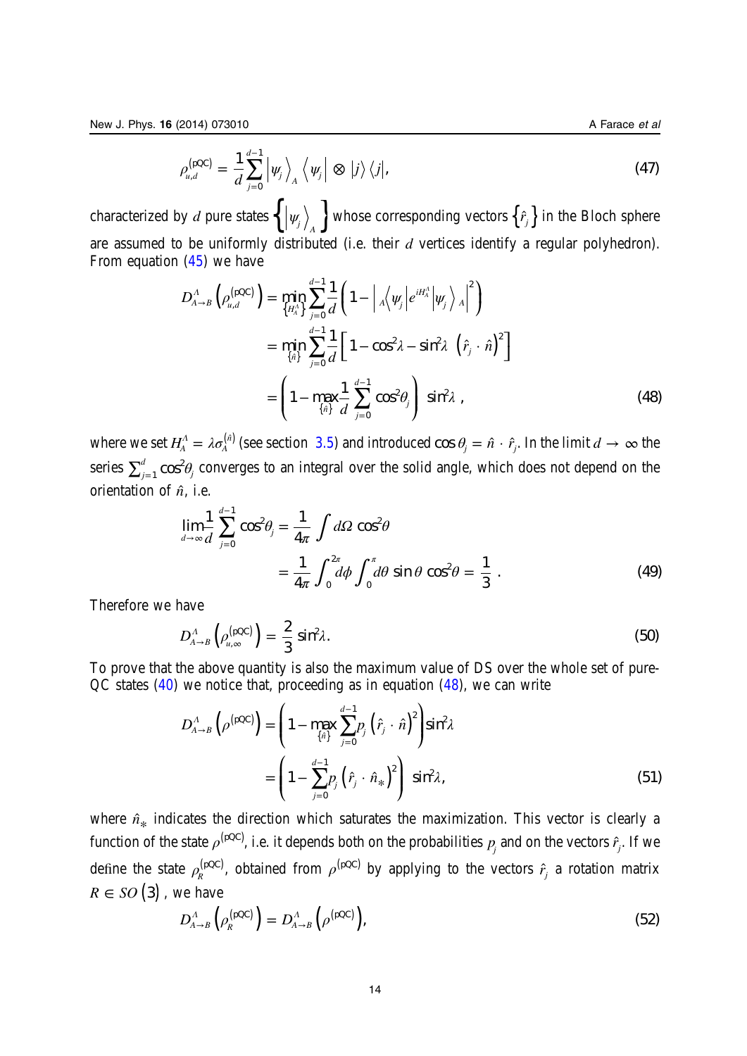$$
\rho_{u,d}^{(\text{pQC})} = \frac{1}{d} \sum_{j=0}^{d-1} \left| \psi_j \right\rangle_A \left\langle \psi_j \right| \otimes |j\rangle \left\langle j \right|,\tag{47}
$$

<span id="page-14-0"></span>characterized by d pure states  $\left\{ \left| \psi_j \right\rangle_A \right\}$  whose corresponding vectors  $\left\{ \hat{r}_j \right\}$  in the Bloch sphere are assumed to be uniformly distributed (i.e. their  $d$  vertices identify a regular polyhedron). From equation [\(45](#page-13-0)) we have

$$
D_{A\to B}^{A}\left(\rho_{u,d}^{(\text{pQC})}\right) = \min_{\{H_A^A\}} \sum_{j=0}^{d-1} \frac{1}{d} \left(1 - \left|_{A}\left\langle \psi_j \middle| e^{iH_A^A} \middle| \psi_j \right\rangle_A \right|^2\right)
$$
  

$$
= \min_{\{\hat{n}\}} \sum_{j=0}^{d-1} \frac{1}{d} \left[1 - \cos^2 \lambda - \sin^2 \lambda \left(\hat{r}_j \cdot \hat{n}\right)^2\right]
$$
  

$$
= \left(1 - \max_{\{\hat{n}\}} \frac{1}{d} \sum_{j=0}^{d-1} \cos^2 \theta_j\right) \sin^2 \lambda,
$$
 (48)

where we set  $H_{\!A}^{\Lambda} = \lambda \sigma_{\!A}^{(\hat{n})}$  (see section [3.5](#page-11-0)) and introduced cos  $\theta_j = \hat{n} \cdot \hat{r}_j$ . In the limit  $d \to \infty$  the series  $\sum_{j=1}^d \cos^2\!\theta_j$  $_1$   $\cos^2\theta_j$  converges to an integral over the solid angle, which does not depend on the orientation of  $\hat{n}$ , i.e.

$$
\lim_{d \to \infty} \frac{1}{d} \sum_{j=0}^{d-1} \cos^2 \theta_j = \frac{1}{4\pi} \int d\Omega \cos^2 \theta
$$
  
= 
$$
\frac{1}{4\pi} \int_0^{2\pi} d\phi \int_0^{\pi} d\theta \sin \theta \cos^2 \theta = \frac{1}{3}.
$$
 (49)

Therefore we have

$$
D_{A\to B}^A\left(\rho_{u,\infty}^{(pQC)}\right) = \frac{2}{3}\sin^2\lambda. \tag{50}
$$

To prove that the above quantity is also the maximum value of DS over the whole set of pure-QC states  $(40)$  $(40)$  we notice that, proceeding as in equation  $(48)$ , we can write

$$
D_{A\to B}^A \left( \rho^{(\text{pQC})} \right) = \left( 1 - \max_{\{\hat{n}\}} \sum_{j=0}^{d-1} p_j \left( \hat{r}_j \cdot \hat{n} \right)^2 \right) \sin^2 \lambda
$$
  
= 
$$
\left( 1 - \sum_{j=0}^{d-1} p_j \left( \hat{r}_j \cdot \hat{n}_* \right)^2 \right) \sin^2 \lambda,
$$
 (51)

where  $\hat{n}_*$  indicates the direction which saturates the maximization. This vector is clearly a function of the state  $\rho^{(\text{pQC})}$ , i.e. it depends both on the probabilities  $p_j$  and on the vectors  $\hat{r}_j$ . If we define the state  $\rho_R^{(pQC)}$ , obtained from  $\rho^{(pQC)}$  by applying to the vectors  $\hat{r}^{}_{j}$  a rotation matrix  $R \in SO(3)$ , we have

$$
D_{A\to B}^A(\rho_R^{(pQC)}) = D_{A\to B}^A(\rho^{(pQC)}), \qquad (52)
$$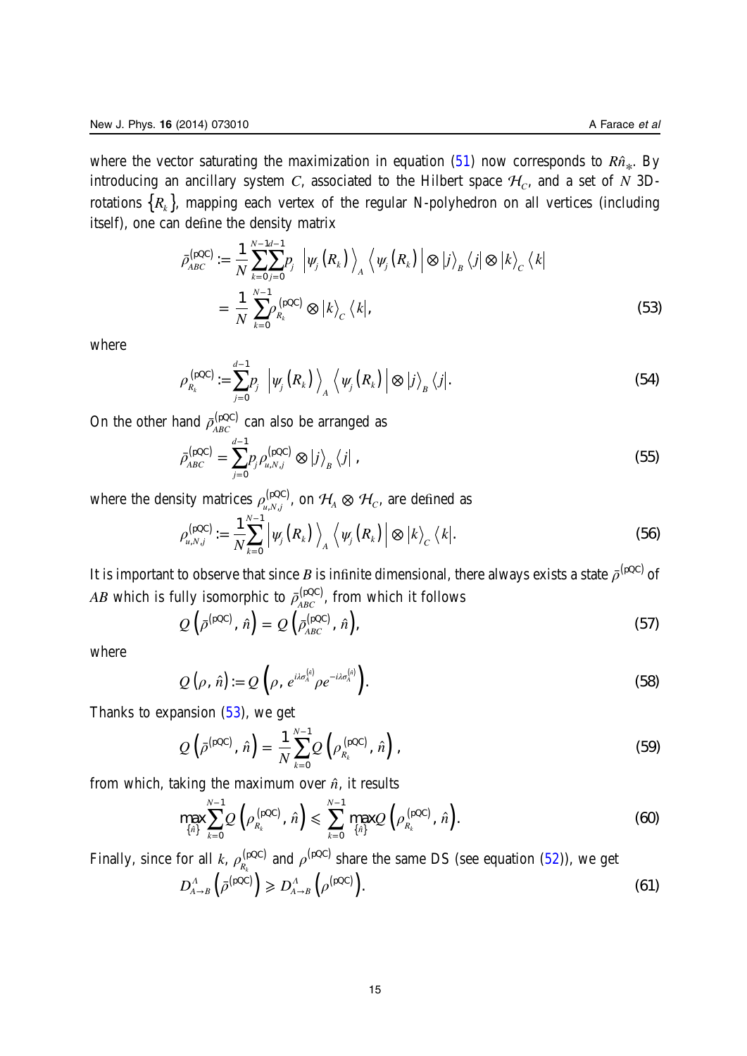<span id="page-15-0"></span>where the vector saturating the maximization in equation  $(51)$  $(51)$  now corresponds to  $R\hat{n}_{*}$ . By introducing an ancillary system C, associated to the Hilbert space  $H_c$ , and a set of N 3Drotations  ${R_k}$ , mapping each vertex of the regular N-polyhedron on all vertices (including itself), one can define the density matrix

$$
\bar{\rho}_{ABC}^{(\text{pQC})} := \frac{1}{N} \sum_{k=0}^{N-1} \sum_{j=0}^{d-1} p_j \left| \psi_j(R_k) \right\rangle_A \left\langle \psi_j(R_k) \right| \otimes \left| j \right\rangle_B \left\langle j \right| \otimes \left| k \right\rangle_C \left\langle k \right|
$$
\n
$$
= \frac{1}{N} \sum_{k=0}^{N-1} \rho_{R_k}^{(\text{pQC})} \otimes \left| k \right\rangle_C \left\langle k \right|, \tag{53}
$$

where

$$
\rho_{R_k}^{\text{(pQC)}} := \sum_{j=0}^{d-1} p_j \left| \psi_j\left(R_k\right) \right\rangle_A \left\langle \psi_j\left(R_k\right) \right| \otimes \left| j \right\rangle_B \left\langle j \right|.
$$
\n(54)

On the other hand  $\bar{\rho}_{ABC}^{(pQC)}$  $\chi_{ABC}^{(\rm pQC)}$  can also be arranged as

$$
\bar{\rho}_{ABC}^{\text{(pQC)}} = \sum_{j=0}^{d-1} p_j \rho_{u,N,j}^{\text{(pQC)}} \otimes |j\rangle_B \langle j| \tag{55}
$$

where the density matrices  $\rho_{u,N,j}^{(\text{pQC})}$ , on  $\mathcal{H}_A\otimes\mathcal{H}_C$ , are defined as

$$
\rho_{u,N,j}^{(\text{pQC})} := \frac{1}{N} \sum_{k=0}^{N-1} \left| \psi_j(R_k) \right\rangle_A \left\langle \psi_j(R_k) \right| \otimes \left| k \right\rangle_C \left\langle k \right|.
$$
\n(56)

It is important to observe that since  $B$  is infinite dimensional, there always exists a state  $\bar{\rho}^{\rm (pQC)}$  of *AB* which is fully isomorphic to  $\bar{\rho}_{ABC}^{(pQC)}$  $\kappa_{ABC}^{(\rm pQC)}$ , from which it follows

$$
Q\left(\bar{\rho}^{\text{(pQC)}},\,\hat{n}\right) = Q\left(\bar{\rho}_{ABC}^{\text{(pQC)}},\,\hat{n}\right),\tag{57}
$$

where

$$
Q\left(\rho,\hat{n}\right) := Q\left(\rho,\,e^{i\lambda\sigma_A^{\left(\hat{n}\right)}}\rho e^{-i\lambda\sigma_A^{\left(\hat{n}\right)}}\right).
$$
\n(58)

Thanks to expansion  $(53)$ , we get

$$
Q\left(\bar{\rho}^{(\text{pQC})},\,\hat{n}\right) = \frac{1}{N} \sum_{k=0}^{N-1} Q\left(\rho_{R_k}^{(\text{pQC})},\,\hat{n}\right),\tag{59}
$$

from which, taking the maximum over  $\hat{n}$ , it results

$$
\max_{\{\hat{n}\}} \sum_{k=0}^{N-1} Q\left(\rho_{R_k}^{\text{(pQC)}}, \,\hat{n}\right) \leqslant \sum_{k=0}^{N-1} \max_{\{\hat{n}\}} Q\left(\rho_{R_k}^{\text{(pQC)}}, \,\hat{n}\right). \tag{60}
$$

Finally, since for all  $k$ ,  $\rho_{R_k}^{(pQC)}$ pQC  $h_k^{\text{pQC}}$  and  $\rho^{\text{(pQC)}}$  share the same DS (see equation [\(52](#page-14-0))), we get

$$
D_{A\to B}^A\left(\bar{\rho}^{\text{(pQC)}}\right) \geqslant D_{A\to B}^A\left(\rho^{\text{(pQC)}}\right). \tag{61}
$$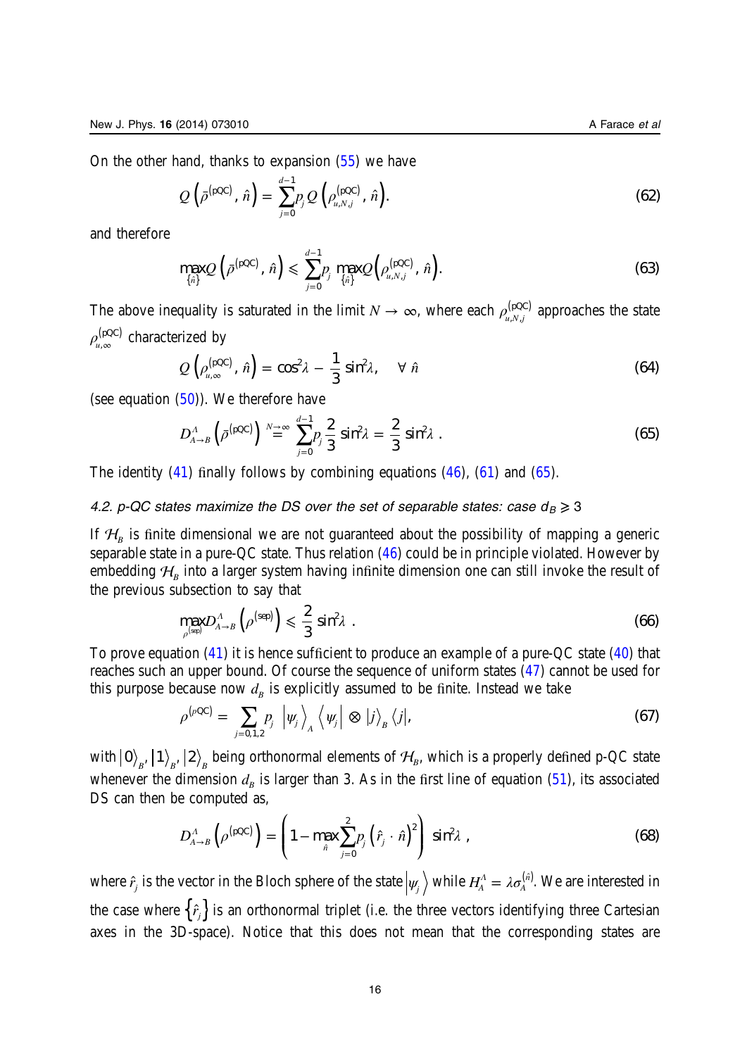<span id="page-16-0"></span>On the other hand, thanks to expansion [\(55](#page-15-0)) we have

$$
Q\left(\bar{\rho}^{(\text{pQC})}, \hat{n}\right) = \sum_{j=0}^{d-1} p_j Q\left(\rho_{u,N,j}^{(\text{pQC})}, \hat{n}\right).
$$
\n(62)

and therefore

$$
\max_{\{\hat{n}\}} Q\left(\bar{\rho}^{\text{(pQC)}}, \, \hat{n}\right) \leqslant \sum_{j=0}^{d-1} p_j \max_{\{\hat{n}\}} Q\left(\rho_{u,N,j}^{\text{(pQC)}}, \, \hat{n}\right). \tag{63}
$$

The above inequality is saturated in the limit  $N \to \infty$ , where each  $\rho_{u,N,j}^{(pQC)}$  approaches the state  $\rho_{_{\mathcal{U},\infty}}^{(\text{pQC})}$  $p_{u,\infty}^{\rm (pQC)}$  characterized by

$$
Q\left(\rho_{u,\infty}^{(\text{pQC})},\hat{n}\right) = \cos^2\lambda - \frac{1}{3}\sin^2\lambda, \quad \forall \hat{n}
$$
\n(64)

(see equation  $(50)$  $(50)$ ). We therefore have

$$
D_{A\to B}^A\left(\bar{\rho}^{(\text{pQC})}\right) \stackrel{N\to\infty}{=} \sum_{j=0}^{d-1} p_j \frac{2}{3} \sin^2 \lambda = \frac{2}{3} \sin^2 \lambda \; . \tag{65}
$$

The identity  $(41)$  $(41)$  finally follows by combining equations  $(46)$  $(46)$ ,  $(61)$  $(61)$  and  $(65)$ .

# 4.2. p-QC states maximize the DS over the set of separable states: case  $d_B \geq 3$

If  $\mathcal{H}_B$  is finite dimensional we are not guaranteed about the possibility of mapping a generic separable state in a pure-QC state. Thus relation ([46\)](#page-13-0) could be in principle violated. However by embedding  $H<sub>R</sub>$  into a larger system having infinite dimension one can still invoke the result of the previous subsection to say that

$$
\max_{\rho^{(\text{sep})}} D_{A\to B}^A \left( \rho^{(\text{sep})} \right) \leqslant \frac{2}{3} \sin^2 \lambda \tag{66}
$$

To prove equation [\(41](#page-12-0)) it is hence sufficient to produce an example of a pure-QC state [\(40](#page-12-0)) that reaches such an upper bound. Of course the sequence of uniform states ([47\)](#page-13-0) cannot be used for this purpose because now  $d_B$  is explicitly assumed to be finite. Instead we take

$$
\rho^{(p\text{QC})} = \sum_{j=0,1,2} p_j \left| \psi_j \right\rangle_A \left\langle \psi_j \right| \otimes \left| j \right\rangle_B \left\langle j \right|,\tag{67}
$$

with  $\ket{0}_B,\ket{1}_B,\ket{2}_B$  being orthonormal elements of  $\mathcal{H}_B$ , which is a properly defined p-QC state whenever the dimension  $d_B$  is larger than 3. As in the first line of equation [\(51](#page-14-0)), its associated DS can then be computed as,

$$
D_{A\to B}^A\left(\rho^{(\text{pQC})}\right) = \left(1 - \max_{\hat{n}} \sum_{j=0}^2 p_j \left(\hat{r}_j \cdot \hat{n}\right)^2\right) \sin^2 \lambda , \qquad (68)
$$

where  $\hat{r}_j$  is the vector in the Bloch sphere of the state  $\ket{\psi_j}$  while  $H_{\!A}^{\Lambda}=\lambda\sigma_A^{(\hat{n})}.$  We are interested in the case where  $\{\hat{r}_i\}$  is an orthonormal triplet (i.e. the three vectors identifying three Cartesian axes in the 3D-space). Notice that this does not mean that the corresponding states are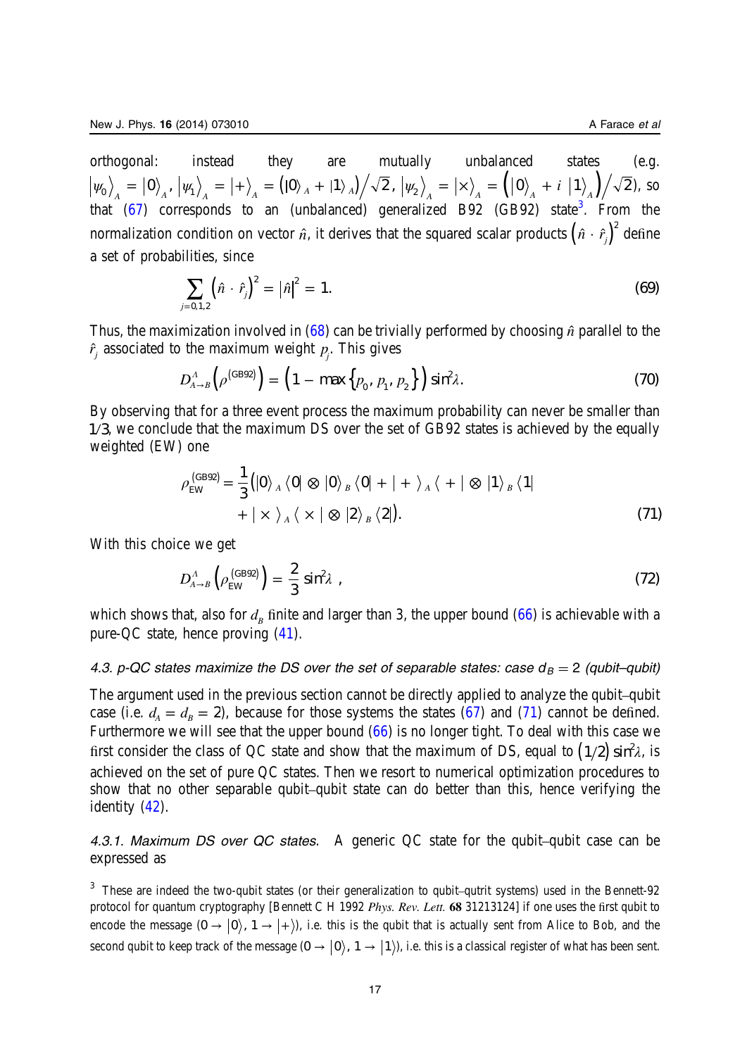<span id="page-17-0"></span>orthogonal: instead they are mutually unbalanced states (e.g.  $\ket{\psi_0}_A = \ket{0}_A, \, \ket{\psi_1}_A = \ket{+}_A = (\ket{0}_A + \ket{1}_A)/\sqrt{2}$  ,  $\ket{\psi_2}_A = \ket{\times}_A = (\ket{0}_A + i \,\ket{1}_A)/\sqrt{2}$ ), so that [\(67](#page-16-0)) corresponds to an (unbalanced) generalized B92 (GB92) state<sup>3</sup>. From the normalization condition on vector  $\hat{n}$ , it derives that the squared scalar products  $\left(\hat{n} \cdot \hat{r}_j\right)^2$  define a set of probabilities, since

$$
\sum_{j=0,1,2} \left(\hat{n} \cdot \hat{r}_j\right)^2 = |\hat{n}|^2 = 1. \tag{69}
$$

Thus, the maximization involved in  $(68)$  $(68)$  can be trivially performed by choosing  $\hat{n}$  parallel to the  $\hat{r}_j$  associated to the maximum weight  $p_j$ . This gives

$$
D_{A\rightarrow B}^{\Lambda}\left(\rho^{(\text{GB92})}\right) = \left(1 - \max\left\{p_0, p_1, p_2\right\}\right) \sin^2 \lambda. \tag{70}
$$

By observing that for a three event process the maximum probability can never be smaller than 1/3, we conclude that the maximum DS over the set of GB92 states is achieved by the equally weighted (EW) one

$$
\rho_{EW}^{\text{(GB92)}} = \frac{1}{3} \left( \left| 0 \right\rangle_A \left\langle 0 \right| \otimes \left| 0 \right\rangle_B \left\langle 0 \right| + \left| + \right\rangle_A \left\langle + \right| \otimes \left| 1 \right\rangle_B \left\langle 1 \right| + \left| \times \right\rangle_A \left\langle \times \right| \otimes \left| 2 \right\rangle_B \left\langle 2 \right| \right).
$$
\n(71)

With this choice we get

$$
D_{A\to B}^A \left( \rho_{\rm EW}^{\rm (GB92)} \right) = \frac{2}{3} \sin^2 \lambda \tag{72}
$$

which shows that, also for  $d_B$  finite and larger than 3, the upper bound ([66\)](#page-16-0) is achievable with a pure-QC state, hence proving [\(41](#page-12-0)).

# 4.3. p-QC states maximize the DS over the set of separable states: case  $d_B = 2$  (qubit–qubit)

The argument used in the previous section cannot be directly applied to analyze the qubit–qubit case (i.e.  $d_a = d_e = 2$ ), because for those systems the states [\(67](#page-16-0)) and (71) cannot be defined. Furthermore we will see that the upper bound  $(66)$  $(66)$  is no longer tight. To deal with this case we first consider the class of QC state and show that the maximum of DS, equal to  $(1/2)\sin^2\lambda$ , is achieved on the set of pure QC states. Then we resort to numerical optimization procedures to show that no other separable qubit–qubit state can do better than this, hence verifying the identity ([42\)](#page-13-0).

4.3.1. Maximum DS over QC states. A generic QC state for the qubit–qubit case can be expressed as

<sup>3</sup> These are indeed the two-qubit states (or their generalization to qubit–qutrit systems) used in the Bennett-92 protocol for quantum cryptography [Bennett C H 1992 Phys. Rev. Lett. 68 31213124] if one uses the first qubit to encode the message  $(0 \rightarrow |0\rangle, 1 \rightarrow |+\rangle)$ , i.e. this is the qubit that is actually sent from Alice to Bob, and the second qubit to keep track of the message  $(0 \rightarrow |0\rangle, 1 \rightarrow |1\rangle)$ , i.e. this is a classical register of what has been sent.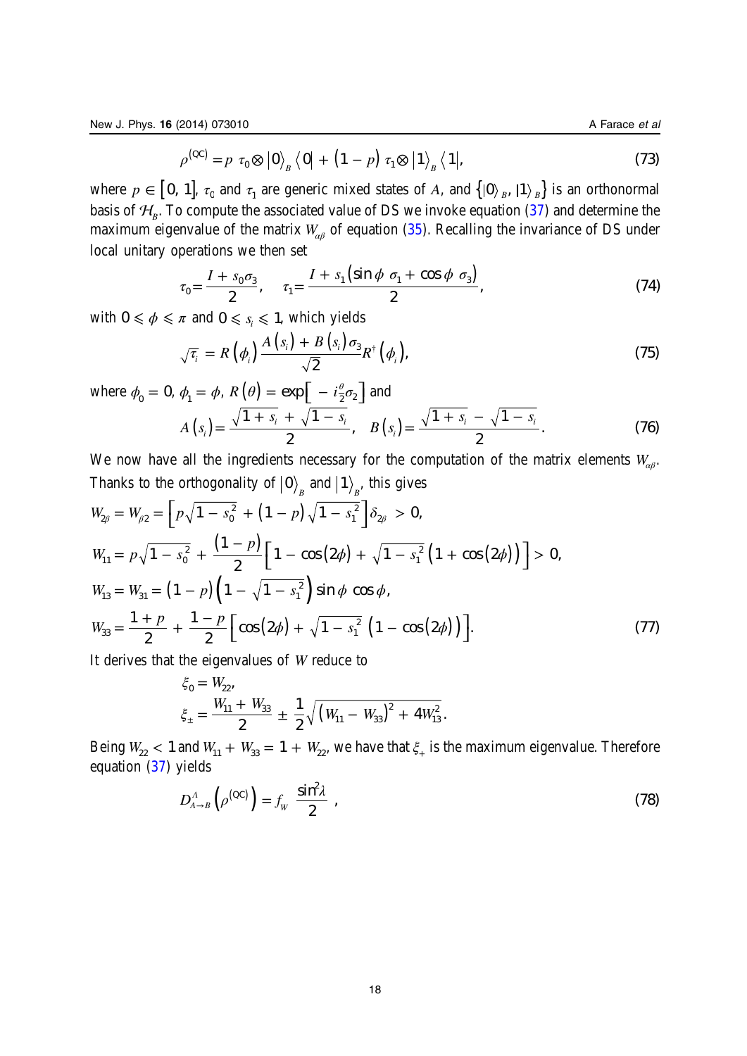$$
\rho^{(QC)} = p \tau_0 \otimes |0\rangle_B \langle 0| + (1 - p) \tau_1 \otimes |1\rangle_B \langle 1|,\tag{73}
$$

where  $p \in [0, 1]$ ,  $\tau_0$  and  $\tau_1$  are generic mixed states of A, and  $\{|0\rangle_B, |1\rangle_B\}$  is an orthonormal basis of  $\mathcal{H}_{R}$ . To compute the associated value of DS we invoke equation [\(37](#page-12-0)) and determine the maximum eigenvalue of the matrix *W<sub>αβ</sub>* of equation ([35\)](#page-11-0). Recalling the invariance of DS under local unitary operations we then set

$$
\tau_0 = \frac{I + s_0 \sigma_3}{2}, \quad \tau_1 = \frac{I + s_1 (\sin \phi \ \sigma_1 + \cos \phi \ \sigma_3)}{2}, \tag{74}
$$

with  $0 \le \phi \le \pi$  and  $0 \le s_i \le 1$ , which yields

$$
\sqrt{\tau_i} = R\left(\phi_i\right) \frac{A\left(s_i\right) + B\left(s_i\right) \sigma_3}{\sqrt{2}} R^{\dagger}\left(\phi_i\right),\tag{75}
$$

where  $\phi_0 = 0$ ,  $\phi_1 = \phi$ ,  $R(\theta) = \exp\left[-i\frac{\theta}{2}\sigma_2\right]$  and  $A(s_i) = \frac{\sqrt{1+s_i} + \sqrt{1-s_i}}{2}, \quad B(s_i) = \frac{\sqrt{1+s_i} - \sqrt{1-s_i}}{2}$  $s_i + \sqrt{1-s}$ *B* (*s*  $\sigma_i$ ) =  $\frac{\sqrt{1 + s_i} + \sqrt{1 - s_i}}{2}$ ,  $B(s_i) = \frac{\sqrt{1 + s_i} - \sqrt{1 - s_i}}{2}$ . (76) *i*  $i \sqrt{1}$   $\delta_i$ 

We now have all the ingredients necessary for the computation of the matrix elements  $W_{\alpha\beta}$ . Thanks to the orthogonality of  $\ket{0}_{{}_B}$  and  $\ket{1}_{{}_B}$ , this gives

$$
W_{2\beta} = W_{\beta 2} = \left[ p\sqrt{1 - s_0^2} + (1 - p)\sqrt{1 - s_1^2} \right] \delta_{2\beta} > 0,
$$
  
\n
$$
W_{11} = p\sqrt{1 - s_0^2} + \frac{(1 - p)}{2} \left[ 1 - \cos(2\phi) + \sqrt{1 - s_1^2} \left( 1 + \cos(2\phi) \right) \right] > 0,
$$
  
\n
$$
W_{13} = W_{31} = (1 - p) \left( 1 - \sqrt{1 - s_1^2} \right) \sin \phi \cos \phi,
$$
  
\n
$$
W_{33} = \frac{1 + p}{2} + \frac{1 - p}{2} \left[ \cos(2\phi) + \sqrt{1 - s_1^2} \left( 1 - \cos(2\phi) \right) \right].
$$
\n(77)

It derives that the eigenvalues of W reduce to

$$
\xi_0 = W_{22},
$$
  
\n
$$
\xi_{\pm} = \frac{W_{11} + W_{33}}{2} \pm \frac{1}{2} \sqrt{(W_{11} - W_{33})^2 + 4W_{13}^2}.
$$

Being  $W_{22}$  < 1 and  $W_{11} + W_{33} = 1 + W_{22}$ , we have that  $\xi_+$  is the maximum eigenvalue. Therefore equation [\(37](#page-12-0)) yields

$$
D_{A\to B}^A(\rho^{(QC)}) = f_W \frac{\sin^2 \lambda}{2} \tag{78}
$$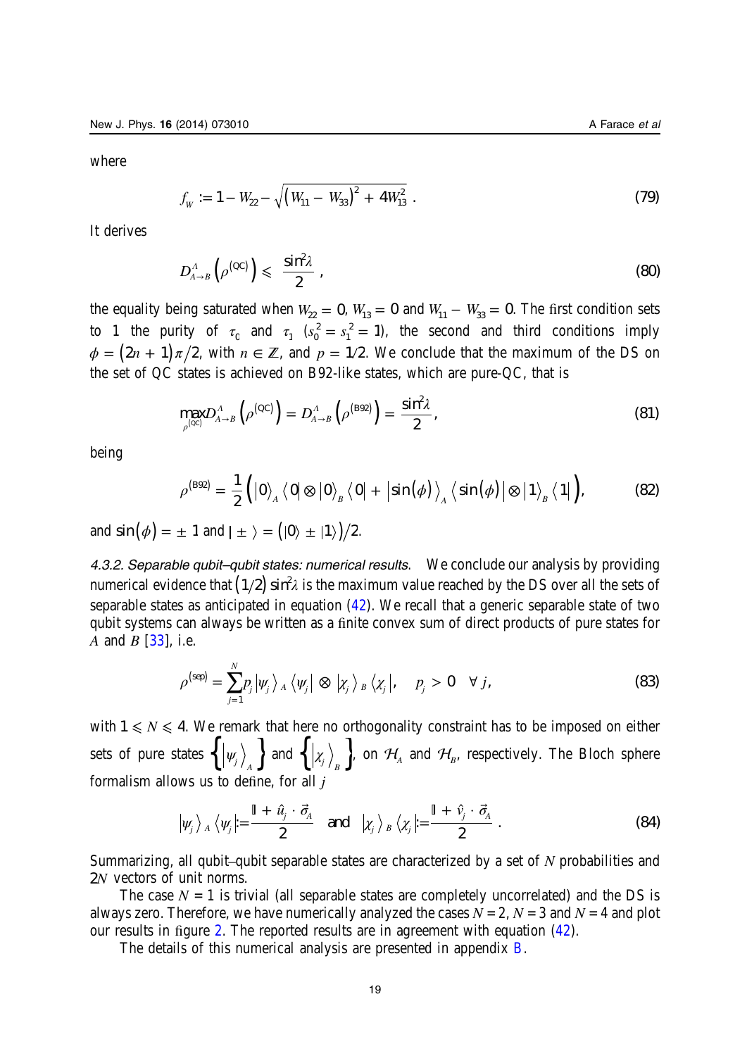<span id="page-19-0"></span>where

$$
f_{\rm w} := 1 - W_{22} - \sqrt{\left(W_{11} - W_{33}\right)^2 + 4W_{13}^2} \tag{79}
$$

It derives

$$
D_{A\to B}^A\left(\rho^{(QC)}\right) \leqslant \frac{\sin^2\lambda}{2} \tag{80}
$$

the equality being saturated when  $W_{22} = 0$ ,  $W_{13} = 0$  and  $W_{11} - W_{33} = 0$ . The first condition sets to 1 the purity of  $\tau_0$  and  $\tau_1$   $(s_0^2 = s_1^2 = 1)$  $L_1^2 = 1$ ), the second and third conditions imply  $\phi = (2n + 1) \pi/2$ , with  $n \in \mathbb{Z}$ , and  $p = 1/2$ . We conclude that the maximum of the DS on the set of QC states is achieved on B92-like states, which are pure-QC, that is

$$
\max_{\rho^{(\rm QC)}} D^{\rm A}_{A\to B}\left(\rho^{(\rm QC)}\right) = D^{\rm A}_{A\to B}\left(\rho^{(\rm B92)}\right) = \frac{\sin^2 \lambda}{2},\tag{81}
$$

being

$$
\rho^{\text{(B92)}} = \frac{1}{2} ( |0\rangle_{A} \langle 0| \otimes |0\rangle_{B} \langle 0| + |\sin(\phi)\rangle_{A} \langle \sin(\phi)| \otimes |1\rangle_{B} \langle 1| ), \qquad (82)
$$

and  $\sin (\phi) = \pm 1$  and  $|\pm \rangle = ( |0 \rangle \pm |1 \rangle )/2$ .

4.3.2. Separable qubit–qubit states: numerical results. We conclude our analysis by providing numerical evidence that  $(1/2)\sin^2\!\lambda$  is the maximum value reached by the DS over all the sets of separable states as anticipated in equation  $(42)$  $(42)$ . We recall that a generic separable state of two qubit systems can always be written as a finite convex sum of direct products of pure states for A and B [\[33](#page-26-0)], i.e.

$$
\rho^{\text{(sep)}} = \sum_{j=1}^{N} p_j \left| \psi_j \right\rangle_A \left\langle \psi_j \right| \otimes \left| \chi_j \right\rangle_B \left\langle \chi_j \right|, \quad p_j > 0 \quad \forall j,
$$
\n(83)

with  $1 \leq N \leq 4$ . We remark that here no orthogonality constraint has to be imposed on either sets of pure states  $\left\{ \left| \psi_j \right\rangle_A \right\}$  and  $\left\{ \left| \chi_j \right\rangle_B \right\}$ , on  $\mathcal{H}_A$  and  $\mathcal{H}_B$ , respectively. The Bloch sphere formalism allows us to define, for all j

$$
|\psi_j\rangle_A \langle \psi_j| = \frac{\mathbb{I} + \hat{u}_j \cdot \vec{\sigma}_A}{2} \quad \text{and} \quad |\chi_j\rangle_B \langle \chi_j| = \frac{\mathbb{I} + \hat{v}_j \cdot \vec{\sigma}_A}{2} \ .
$$
 (84)

Summarizing, all qubit–qubit separable states are characterized by a set of N probabilities and 2*N* vectors of unit norms.

The case  $N = 1$  is trivial (all separable states are completely uncorrelated) and the DS is always zero. Therefore, we have numerically analyzed the cases  $N = 2$ ,  $N = 3$  and  $N = 4$  and plot our results in figure [2](#page-21-0). The reported results are in agreement with equation ([42\)](#page-13-0).

The details of this numerical analysis are presented in appendix [B](#page-23-0).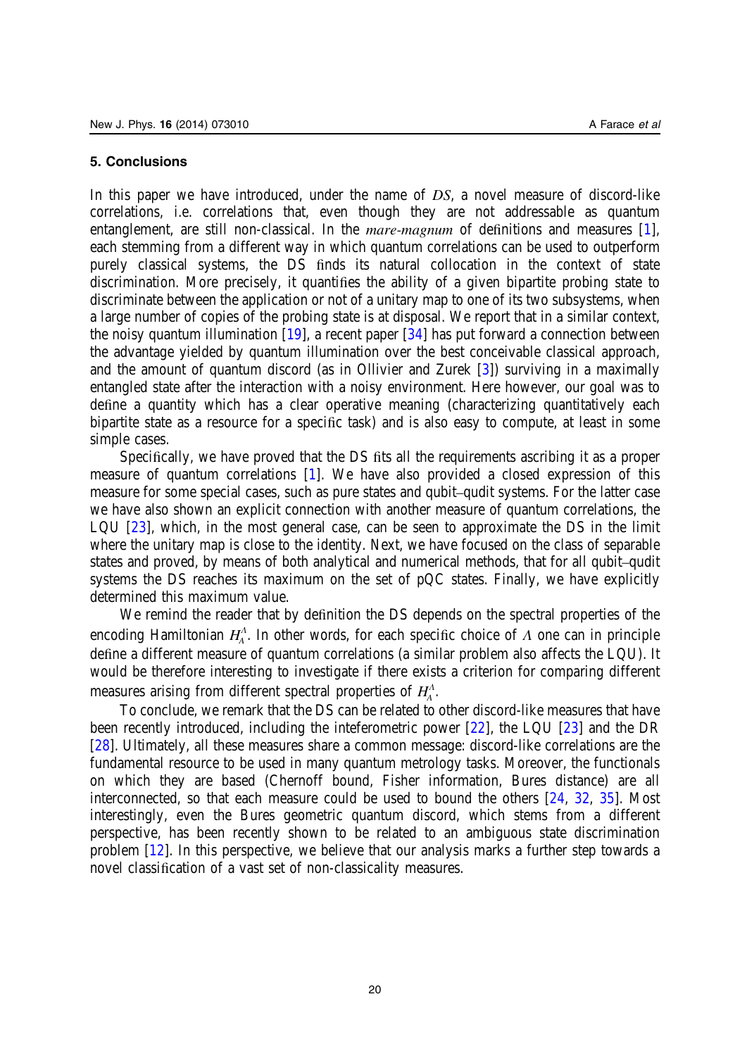#### <span id="page-20-0"></span>5. Conclusions

In this paper we have introduced, under the name of DS, a novel measure of discord-like correlations, i.e. correlations that, even though they are not addressable as quantum entanglement, are still non-classical. In the *mare-magnum* of definitions and measures [\[1](#page-25-0)], each stemming from a different way in which quantum correlations can be used to outperform purely classical systems, the DS finds its natural collocation in the context of state discrimination. More precisely, it quantifies the ability of a given bipartite probing state to discriminate between the application or not of a unitary map to one of its two subsystems, when a large number of copies of the probing state is at disposal. We report that in a similar context, the noisy quantum illumination  $[19]$  $[19]$ , a recent paper  $[34]$  $[34]$  has put forward a connection between the advantage yielded by quantum illumination over the best conceivable classical approach, and the amount of quantum discord (as in Ollivier and Zurek [\[3](#page-25-0)]) surviving in a maximally entangled state after the interaction with a noisy environment. Here however, our goal was to define a quantity which has a clear operative meaning (characterizing quantitatively each bipartite state as a resource for a specific task) and is also easy to compute, at least in some simple cases.

Specifically, we have proved that the DS fits all the requirements ascribing it as a proper measure of quantum correlations [\[1\]](#page-25-0). We have also provided a closed expression of this measure for some special cases, such as pure states and qubit–qudit systems. For the latter case we have also shown an explicit connection with another measure of quantum correlations, the LQU [[23\]](#page-25-0), which, in the most general case, can be seen to approximate the DS in the limit where the unitary map is close to the identity. Next, we have focused on the class of separable states and proved, by means of both analytical and numerical methods, that for all qubit–qudit systems the DS reaches its maximum on the set of pQC states. Finally, we have explicitly determined this maximum value.

We remind the reader that by definition the DS depends on the spectral properties of the encoding Hamiltonian  $H_4^A$ . In other words, for each specific choice of  $\Lambda$  one can in principle define a different measure of quantum correlations (a similar problem also affects the LQU). It would be therefore interesting to investigate if there exists a criterion for comparing different measures arising from different spectral properties of *H*<sub>*A*</sub>.

To conclude, we remark that the DS can be related to other discord-like measures that have been recently introduced, including the inteferometric power [[22\]](#page-25-0), the LQU [\[23](#page-25-0)] and the DR [[28\]](#page-25-0). Ultimately, all these measures share a common message: discord-like correlations are the fundamental resource to be used in many quantum metrology tasks. Moreover, the functionals on which they are based (Chernoff bound, Fisher information, Bures distance) are all interconnected, so that each measure could be used to bound the others [\[24](#page-25-0), [32,](#page-26-0) [35\]](#page-26-0). Most interestingly, even the Bures geometric quantum discord, which stems from a different perspective, has been recently shown to be related to an ambiguous state discrimination problem [\[12](#page-25-0)]. In this perspective, we believe that our analysis marks a further step towards a novel classification of a vast set of non-classicality measures.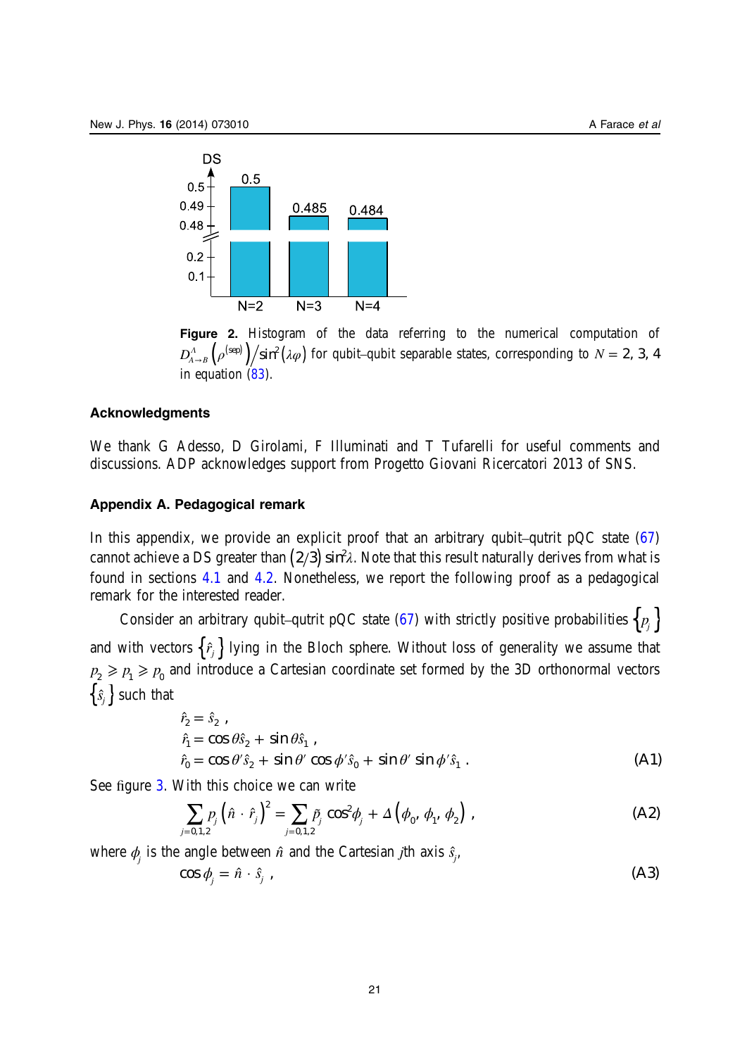<span id="page-21-0"></span>

Figure 2. Histogram of the data referring to the numerical computation of  $D_{A\to B}^A\left({\rho}^{(\rm sep)}\right)\!{\Big/}{\sin^2\left(\lambda\varphi\right)}$  for qubit–qubit separable states, corresponding to  $N=2,~3,~4$ in equation [\(83](#page-19-0)).

#### Acknowledgments

We thank G Adesso, D Girolami, F Illuminati and T Tufarelli for useful comments and discussions. ADP acknowledges support from Progetto Giovani Ricercatori 2013 of SNS.

# Appendix A. Pedagogical remark

In this appendix, we provide an explicit proof that an arbitrary qubit–qutrit pQC state  $(67)$  $(67)$ cannot achieve a DS greater than  $\left( 2/3\right) \sin^{2}\! \lambda.$  Note that this result naturally derives from what is found in sections [4.1](#page-13-0) and [4.2](#page-16-0). Nonetheless, we report the following proof as a pedagogical remark for the interested reader.

Consider an arbitrary qubit–qutrit pQC state [\(67](#page-16-0)) with strictly positive probabilities  $\{p_j\}$ and with vectors  $\{ \hat{r}_j \}$  lying in the Bloch sphere. Without loss of generality we assume that  $p_2 \geqslant p_1 \geqslant p_0$  and introduce a Cartesian coordinate set formed by the 3D orthonormal vectors  $\{\hat{s}_j\}$  such that

$$
\begin{aligned}\n\hat{r}_2 &= \hat{s}_2 , \\
\hat{r}_1 &= \cos \theta \hat{s}_2 + \sin \theta \hat{s}_1 , \\
\hat{r}_0 &= \cos \theta' \hat{s}_2 + \sin \theta' \cos \phi' \hat{s}_0 + \sin \theta' \sin \phi' \hat{s}_1 .\n\end{aligned}
$$
\n(A1)

See figure [3](#page-22-0). With this choice we can write

*j*

$$
\sum_{j=0,1,2} p_j \left( \hat{n} \cdot \hat{r}_j \right)^2 = \sum_{j=0,1,2} \tilde{p}_j \cos^2 \phi_j + \Delta \left( \phi_0, \phi_1, \phi_2 \right), \tag{A2}
$$

where  $\phi_j$  is the angle between  $\hat{n}$  and the Cartesian *j*th axis  $\hat{s}_j$ ,

$$
\cos \phi_j = \hat{n} \cdot \hat{s}_j \tag{A3}
$$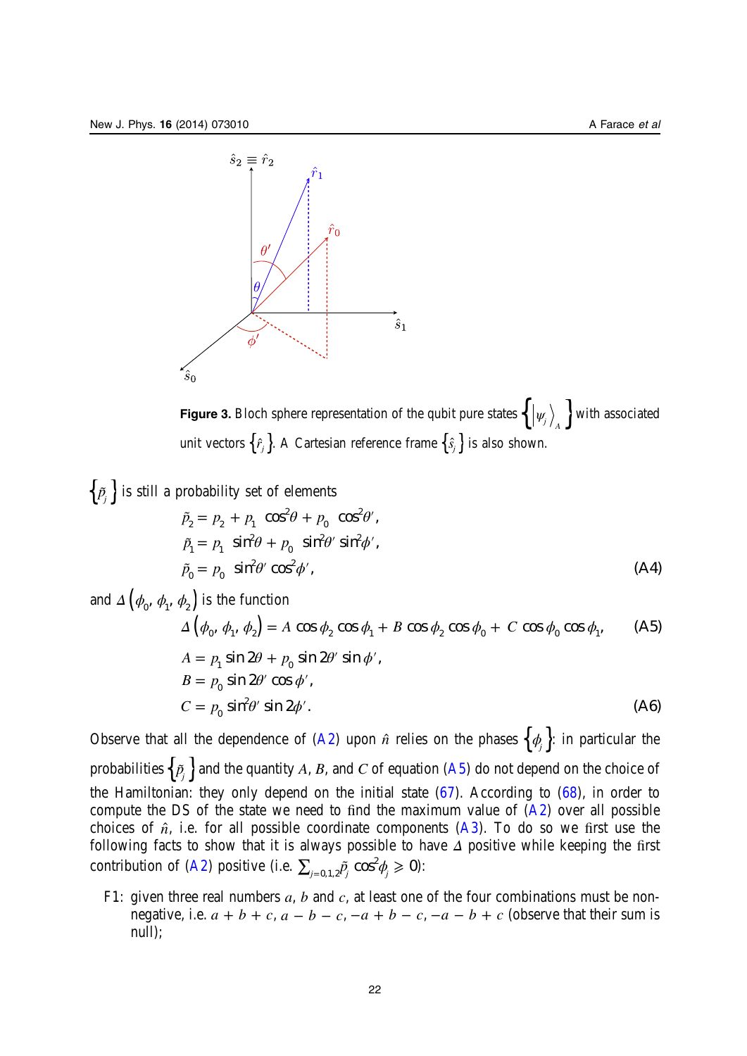<span id="page-22-0"></span>

Figure 3. Bloch sphere representation of the qubit pure states  $\left\{ \left| \psi_j \right\rangle_A \right\}$  with associated unit vectors  $\{\hat{r}_j\}$ . A Cartesian reference frame  $\{\hat{s}_j\}$  is also shown.

$$
\left\{\tilde{p}_j\right\} \text{ is still a probability set of elements}
$$
\n
$$
\tilde{p}_2 = p_2 + p_1 \cos^2 \theta + p_0 \cos^2 \theta',
$$
\n
$$
\tilde{p}_1 = p_1 \sin^2 \theta + p_0 \sin^2 \theta' \sin^2 \phi',
$$
\n
$$
\tilde{p}_0 = p_0 \sin^2 \theta' \cos^2 \phi',
$$
\n
$$
\text{and } \Delta \left(\phi_0, \phi_1, \phi_2\right) \text{ is the function}
$$
\n
$$
\Delta \left(\phi_0, \phi_1, \phi_2\right) = A \cos \phi_2 \cos \phi_1 + B \cos \phi_2 \cos \phi_0 + C \cos \phi_0 \cos \phi_1,
$$
\n
$$
A = p_1 \sin 2\theta + p_0 \sin 2\theta' \sin \phi',
$$
\n
$$
B = p_0 \sin 2\theta' \cos \phi',
$$
\n
$$
C = p_0 \sin^2 \theta' \sin 2\phi'.
$$
\n(A6)

Observe that all the dependence of ([A2](#page-21-0)) upon  $\hat{n}$  relies on the phases  $\{\phi_i\}$ : in particular the probabilities  $\left\{ \tilde{\rho_{j}}\right\}$  and the quantity  $A$ ,  $B$ , and  $C$  of equation (A5) do not depend on the choice of the Hamiltonian: they only depend on the initial state  $(67)$  $(67)$ . According to  $(68)$  $(68)$ , in order to compute the DS of the state we need to find the maximum value of  $(A2)$  $(A2)$  $(A2)$  over all possible choices of  $\hat{n}$ , i.e. for all possible coordinate components  $(A3)$  $(A3)$ . To do so we first use the following facts to show that it is always possible to have *Δ* positive while keeping the first contribution of [\(A2\)](#page-21-0) positive (i.e.  $\sum_{j=0,1,2}\tilde{p_j}\cos^2\!\phi_j\geqslant 0$ ):

F1: given three real numbers  $a, b$  and  $c, a$  at least one of the four combinations must be nonnegative, i.e.  $a + b + c$ ,  $a - b - c$ ,  $-a + b - c$ ,  $-a - b + c$  (observe that their sum is null);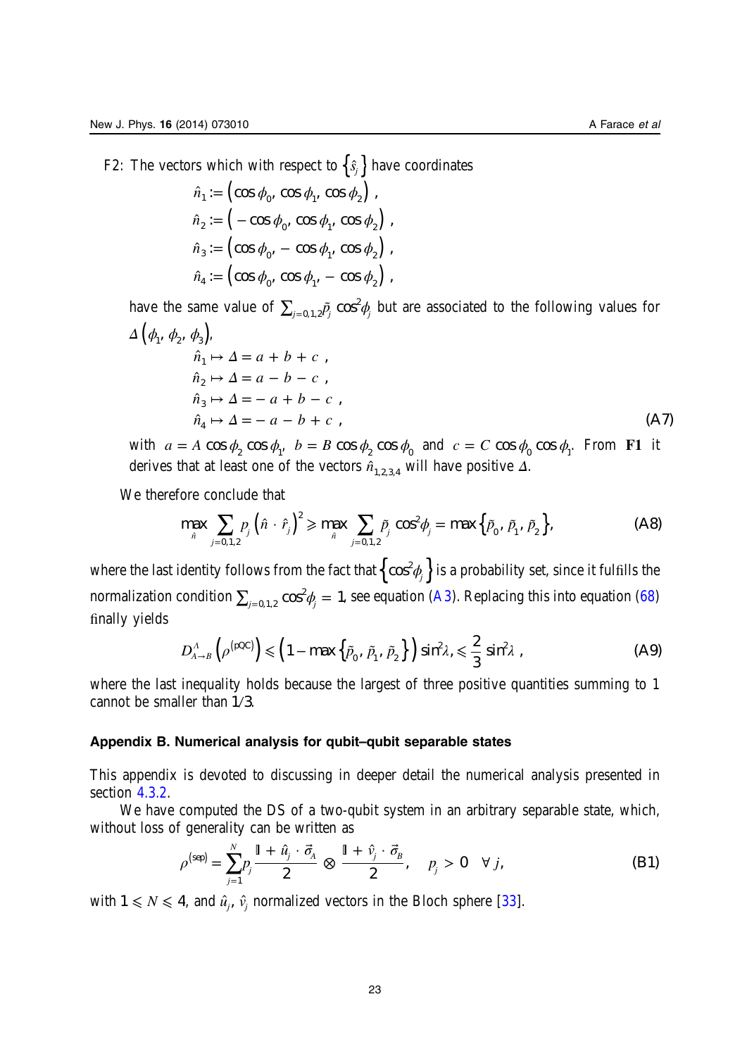<span id="page-23-0"></span>F2: The vectors which with respect to  $\{\hat{s}_j\}$  have coordinates

$$
\hat{n}_1 := \left(\cos \phi_0, \cos \phi_1, \cos \phi_2\right),
$$
  

$$
\hat{n}_2 := \left(-\cos \phi_0, \cos \phi_1, \cos \phi_2\right),
$$
  

$$
\hat{n}_3 := \left(\cos \phi_0, -\cos \phi_1, \cos \phi_2\right),
$$
  

$$
\hat{n}_4 := \left(\cos \phi_0, \cos \phi_1, -\cos \phi_2\right),
$$

have the same value of  $\sum_{j=0,1,2}\tilde{p_j}\cos^2\!\phi_j$  but are associated to the following values for  $\Delta\left(\phi_{1}, \phi_{2}, \phi_{3}\right)$ 

$$
\hat{n}_1 \mapsto \Delta = a + b + c ,
$$
\n
$$
\hat{n}_2 \mapsto \Delta = a - b - c ,
$$
\n
$$
\hat{n}_3 \mapsto \Delta = -a + b - c ,
$$
\n
$$
\hat{n}_4 \mapsto \Delta = -a - b + c ,
$$
\n(A7)

with  $a = A \cos \phi_2 \cos \phi_1$ ,  $b = B \cos \phi_2 \cos \phi_0$  and  $c = C \cos \phi_0 \cos \phi_1$ . From F1 it derives that at least one of the vectors  $\hat{n}_{1,2,3,4}$  will have positive  $\Delta$ .

We therefore conclude that

$$
\max_{\hat{n}} \sum_{j=0,1,2} p_j \left( \hat{n} \cdot \hat{r}_j \right)^2 \ge \max_{\hat{n}} \sum_{j=0,1,2} \tilde{p}_j \cos^2 \phi_j = \max \left\{ \tilde{p}_0, \tilde{p}_1, \tilde{p}_2 \right\},\tag{A8}
$$

where the last identity follows from the fact that  $\left\{\cos^2\phi_{_j}\right\}$  is a probability set, since it fulfills the normalization condition  $\sum_{j=0,1,2}\cos^2\!\phi_j^{\vphantom{j}}=1$ , see equation [\(A3](#page-21-0)). Replacing this into equation [\(68](#page-16-0)) finally yields

$$
D_{A\to B}^A(\rho^{(\text{pQC})}) \leq (1 - \max{\{\tilde{p}_0, \tilde{p}_1, \tilde{p}_2\}}) \sin^2 \lambda, \leq \frac{2}{3} \sin^2 \lambda,
$$
 (A9)

where the last inequality holds because the largest of three positive quantities summing to 1 cannot be smaller than  $1/3$ .

# Appendix B. Numerical analysis for qubit–qubit separable states

This appendix is devoted to discussing in deeper detail the numerical analysis presented in section 4.3.2.

We have computed the DS of a two-qubit system in an arbitrary separable state, which, without loss of generality can be written as

$$
\rho^{\text{(sep)}} = \sum_{j=1}^{N} p_j \frac{\mathbb{I} + \hat{u}_j \cdot \vec{\sigma}_A}{2} \otimes \frac{\mathbb{I} + \hat{v}_j \cdot \vec{\sigma}_B}{2}, \quad p_j > 0 \quad \forall j,
$$
\n(B1)

with  $1 \leq N \leq 4$ , and  $\hat{u}_j$ ,  $\hat{v}_j$  normalized vectors in the Bloch sphere [[33\]](#page-26-0).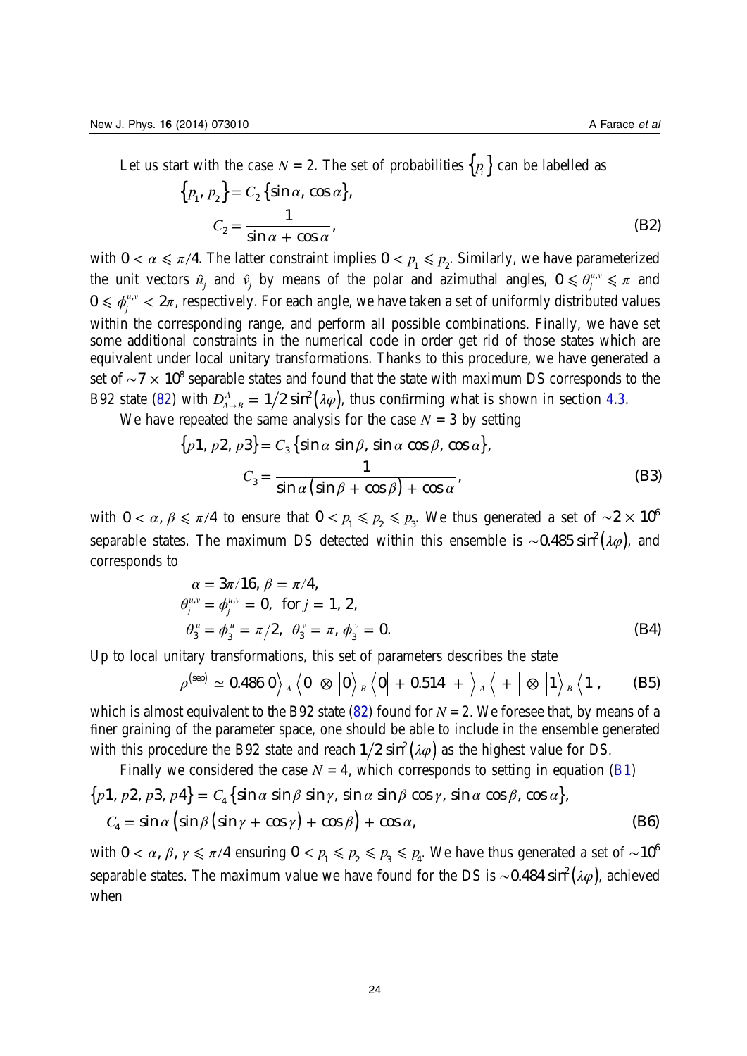Let us start with the case  $N = 2$ . The set of probabilities  $\{p_i\}$  can be labelled as

$$
\{p_1, p_2\} = C_2 \{\sin \alpha, \cos \alpha\},
$$
  

$$
C_2 = \frac{1}{\sin \alpha + \cos \alpha},
$$
 (B2)

with  $0 < \alpha \le \pi/4$ . The latter constraint implies  $0 < p_1 \le p_2$ . Similarly, we have parameterized the unit vectors  $\hat{u}_j$  and  $\hat{v}_j$  by means of the polar and azimuthal angles,  $0 \le \theta_j^{u,v} \le \pi$  and  $0\leqslant\phi_j^{u,v}< 2\pi$ , respectively. For each angle, we have taken a set of uniformly distributed values within the corresponding range, and perform all possible combinations. Finally, we have set some additional constraints in the numerical code in order get rid of those states which are equivalent under local unitary transformations. Thanks to this procedure, we have generated a set of ~7 × 10<sup>8</sup> separable states and found that the state with maximum DS corresponds to the B92 state [\(82\)](#page-19-0) with  $D_{A\rightarrow B}^{\Lambda} = 1/2 \sin^2(\lambda \varphi)$ , thus confirming what is shown in section [4.3](#page-17-0).

We have repeated the same analysis for the case  $N = 3$  by setting

$$
\{p1, p2, p3\} = C_3 \{\sin \alpha \sin \beta, \sin \alpha \cos \beta, \cos \alpha\},
$$
  

$$
C_3 = \frac{1}{\sin \alpha \left(\sin \beta + \cos \beta\right) + \cos \alpha},
$$
 (B3)

with  $0 < \alpha$ ,  $\beta \le \pi/4$  to ensure that  $0 < p_1 \le p_2 \le p_3$ . We thus generated a set of ~2 × 10<sup>6</sup> separable states. The maximum DS detected within this ensemble is ~0.485 sin<sup>2</sup> ( $\lambda \varphi$ ), and corresponds to

$$
\alpha = 3\pi/16, \ \beta = \pi/4,\n\theta_j^{u,v} = \phi_j^{u,v} = 0, \ \text{ for } j = 1, \ 2,\n\theta_3^u = \phi_3^u = \pi/2, \ \theta_3^v = \pi, \ \phi_3^v = 0.
$$
\n(B4)

Up to local unitary transformations, this set of parameters describes the state

$$
\rho^{\text{(sep)}} \simeq 0.486 \big| 0 \big\rangle_A \big\langle 0 \big| \otimes \big| 0 \big\rangle_B \big\langle 0 \big| + 0.514 \big| + \big\rangle_A \big\langle + \big| \otimes \big| 1 \big\rangle_B \big\langle 1 \big|, \qquad \text{(B5)}
$$

which is almost equivalent to the B92 state  $(82)$  $(82)$  found for  $N = 2$ . We foresee that, by means of a finer graining of the parameter space, one should be able to include in the ensemble generated with this procedure the B92 state and reach  $1/2 \sin^2(\lambda \varphi)$  as the highest value for DS.

Finally we considered the case  $N = 4$ , which corresponds to setting in equation [\(B1](#page-23-0))  $\{p1, p2, p3, p4\} = C_4 \{\sin \alpha \sin \beta \sin \gamma, \sin \alpha \sin \beta \cos \gamma, \sin \alpha \cos \beta, \cos \alpha\},\}$  $C_4 = \sin \alpha \left( \sin \beta \left( \sin \gamma + \cos \gamma \right) + \cos \beta \right) + \cos \alpha,$  (B6)

with  $0 < \alpha$ ,  $\beta$ ,  $\gamma \le \pi/4$  ensuring  $0 < p_1 \le p_2 \le p_3 \le p_4$ . We have thus generated a set of ~10<sup>6</sup> separable states. The maximum value we have found for the DS is ~0.484 sin<sup>2</sup> (λφ), achieved when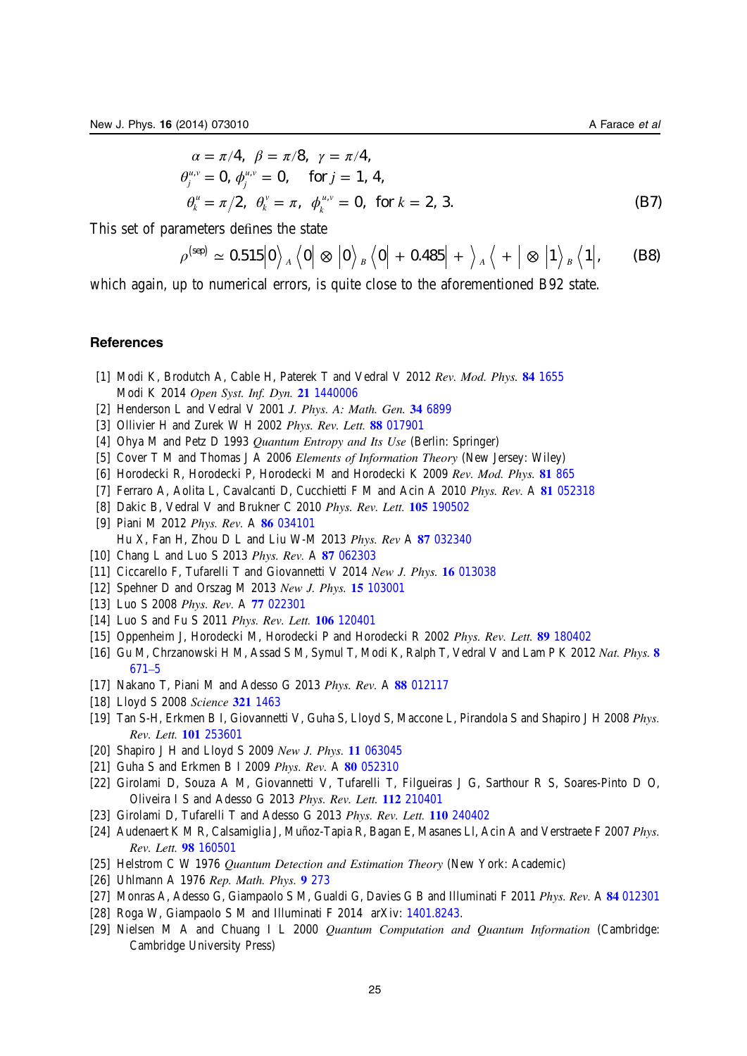<span id="page-25-0"></span>
$$
\alpha = \pi/4, \ \beta = \pi/8, \ \gamma = \pi/4,\n\theta_j^{\mu,\nu} = 0, \ \phi_j^{\mu,\nu} = 0, \quad \text{for } j = 1, 4,\n\theta_k^{\mu} = \pi/2, \ \theta_k^{\nu} = \pi, \ \phi_k^{\mu,\nu} = 0, \text{ for } k = 2, 3.
$$
\n(B7)

This set of parameters defines the state

*k*

$$
\rho^{\text{(sep)}}\simeq0.515\big|0\big>_A\big<0\big|\otimes\big|0\big>_B\big<0\big|+0.485\big|+\big>_A\big<+\big|\otimes\big|1\big>_B\big<1\big|,\qquad \textbf{(B8)}
$$

which again, up to numerical errors, is quite close to the aforementioned B92 state.

#### **References**

- [1] Modi K, Brodutch A, Cable H, Paterek T and Vedral V 2012 Rev. Mod. Phys. 84 [1655](http://dx.doi.org/10.1103/RevModPhys.84.1655) Modi K 2014 Open Syst. Inf. Dyn. 21 [1440006](http://dx.doi.org/10.1142/s123016121440006x)
- [2] Henderson L and Vedral V 2001 J. Phys. A: Math. Gen. 34 [6899](http://dx.doi.org/10.1088/0305-4470/34/35/315)
- [3] Ollivier H and Zurek W H 2002 Phys. Rev. Lett. 88 [017901](http://dx.doi.org/10.1103/PhysRevLett.88.017901)
- [4] Ohya M and Petz D 1993 Quantum Entropy and Its Use (Berlin: Springer)
- [5] Cover T M and Thomas J A 2006 Elements of Information Theory (New Jersey: Wiley)
- [6] Horodecki R, Horodecki P, Horodecki M and Horodecki K 2009 Rev. Mod. Phys. 81 [865](http://dx.doi.org/10.1103/RevModPhys.81.865)
- [7] Ferraro A, Aolita L, Cavalcanti D, Cucchietti F M and Acin A 2010 Phys. Rev. A 81 [052318](http://dx.doi.org/10.1103/PhysRevA.81.042108)
- [8] Dakic B, Vedral V and Brukner C 2010 Phys. Rev. Lett. 105 [190502](http://dx.doi.org/10.1103/PhysRevLett.105.190502)
- [9] Piani M 2012 Phys. Rev. A 86 [034101](http://dx.doi.org/10.1103/PhysRevA.86.034101) Hu X, Fan H, Zhou D L and Liu W-M 2013 Phys. Rev A 87 [032340](http://dx.doi.org/10.1103/PhysRevA.87.032340)
- [10] Chang L and Luo S 2013 Phys. Rev. A 87 [062303](http://dx.doi.org/10.1103/PhysRevA.87.062303)
- [11] Ciccarello F, Tufarelli T and Giovannetti V 2014 New J. Phys. 16 [013038](http://dx.doi.org/10.1088/1367-2630/16/1/013038)
- [12] Spehner D and Orszag M 2013 New J. Phys. **15** [103001](http://dx.doi.org/10.1088/1367-2630/15/10/103001)
- [13] Luo S 2008 Phys. Rev. A 77 [022301](http://dx.doi.org/10.1103/PhysRevA.77.042303)
- [14] Luo S and Fu S 2011 Phys. Rev. Lett. **106** [120401](http://dx.doi.org/10.1103/PhysRevLett.106.069902)
- [15] Oppenheim J, Horodecki M, Horodecki P and Horodecki R 2002 Phys. Rev. Lett. 89 [180402](http://dx.doi.org/10.1103/PhysRevLett.89.180402)
- [16] Gu M, Chrzanowski H M, Assad S M, Symul T, Modi K, Ralph T, Vedral V and Lam P K 2012 Nat. Phys. [8](http://dx.doi.org/10.1038/nphys2376) [671](http://dx.doi.org/10.1038/nphys2376)–5
- [17] Nakano T, Piani M and Adesso G 2013 Phys. Rev. A 88 [012117](http://dx.doi.org/10.1103/PhysRevA.88.012117)
- [18] Lloyd S 2008 Science 321 [1463](http://dx.doi.org/10.1126/science.1160627)
- [19] Tan S-H, Erkmen B I, Giovannetti V, Guha S, Lloyd S, Maccone L, Pirandola S and Shapiro J H 2008 Phys. Rev. Lett. 101 [253601](http://dx.doi.org/10.1103/PhysRevLett.101.253601)
- [20] Shapiro J H and Lloyd S 2009 New J. Phys. 11 [063045](http://dx.doi.org/10.1088/1367-2630/11/6/063045)
- [21] Guha S and Erkmen B I 2009 Phys. Rev. A 80 [052310](http://dx.doi.org/10.1103/PhysRevA.80.052310)
- [22] Girolami D, Souza A M, Giovannetti V, Tufarelli T, Filgueiras J G, Sarthour R S, Soares-Pinto D O, Oliveira I S and Adesso G 2013 Phys. Rev. Lett. 112 [210401](http://dx.doi.org/10.1103/PhysRevLett.112.210401)
- [23] Girolami D, Tufarelli T and Adesso G 2013 Phys. Rev. Lett. 110 [240402](http://dx.doi.org/10.1103/PhysRevLett.110.240402)
- [24] Audenaert K M R, Calsamiglia J, Muñoz-Tapia R, Bagan E, Masanes Ll, Acin A and Verstraete F 2007 Phys. Rev. Lett. 98 [160501](http://dx.doi.org/10.1103/PhysRevLett.98.160501)
- [25] Helstrom C W 1976 Quantum Detection and Estimation Theory (New York: Academic)
- [26] Uhlmann A 1976 Rep. Math. Phys. 9 [273](http://dx.doi.org/10.1016/0034-4877(76)90060-4)
- [27] Monras A, Adesso G, Giampaolo S M, Gualdi G, Davies G B and Illuminati F 2011 Phys. Rev. A 84 [012301](http://dx.doi.org/10.1103/PhysRevA.84.012301)
- [28] Roga W, Giampaolo S M and Illuminati F 2014 arXiv: [1401.8243.](http://arXiv.org/abs/1401.8243)
- [29] Nielsen M A and Chuang I L 2000 *Ouantum Computation and Ouantum Information* (Cambridge: Cambridge University Press)